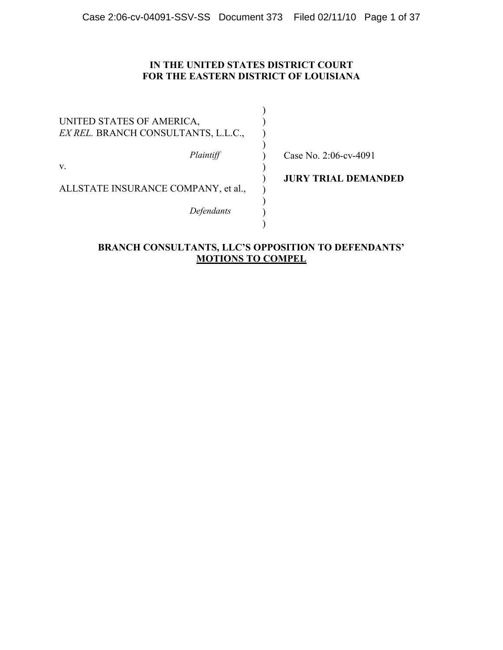## **IN THE UNITED STATES DISTRICT COURT FOR THE EASTERN DISTRICT OF LOUISIANA**

| <b>JURY TRIAL DEMANDED</b> |
|----------------------------|
|                            |
|                            |

## **BRANCH CONSULTANTS, LLC'S OPPOSITION TO DEFENDANTS' MOTIONS TO COMPEL**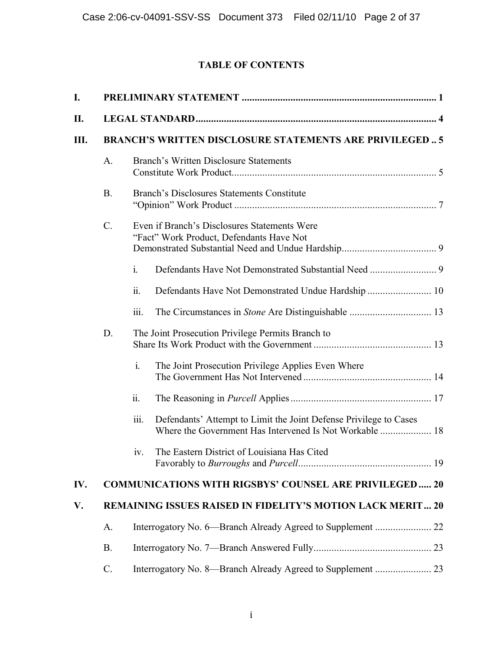## **TABLE OF CONTENTS**

| I.  |           |                                                                                                                                      |  |
|-----|-----------|--------------------------------------------------------------------------------------------------------------------------------------|--|
| П.  |           |                                                                                                                                      |  |
| Ш.  |           | <b>BRANCH'S WRITTEN DISCLOSURE STATEMENTS ARE PRIVILEGED 5</b>                                                                       |  |
|     | A.        | <b>Branch's Written Disclosure Statements</b>                                                                                        |  |
|     | <b>B.</b> | Branch's Disclosures Statements Constitute                                                                                           |  |
|     | $C$ .     | Even if Branch's Disclosures Statements Were<br>"Fact" Work Product, Defendants Have Not                                             |  |
|     |           | $\mathbf{i}$ .                                                                                                                       |  |
|     |           | ii.<br>Defendants Have Not Demonstrated Undue Hardship  10                                                                           |  |
|     |           | 111.                                                                                                                                 |  |
|     | D.        | The Joint Prosecution Privilege Permits Branch to                                                                                    |  |
|     |           | $i$ .<br>The Joint Prosecution Privilege Applies Even Where                                                                          |  |
|     |           | $\dddot{\mathbf{u}}$ .                                                                                                               |  |
|     |           | iii.<br>Defendants' Attempt to Limit the Joint Defense Privilege to Cases<br>Where the Government Has Intervened Is Not Workable  18 |  |
|     |           | The Eastern District of Louisiana Has Cited<br>iv.                                                                                   |  |
| IV. |           | <b>COMMUNICATIONS WITH RIGSBYS' COUNSEL ARE PRIVILEGED 20</b>                                                                        |  |
| V.  |           | REMAINING ISSUES RAISED IN FIDELITY'S MOTION LACK MERIT 20                                                                           |  |
|     | A.        |                                                                                                                                      |  |
|     | <b>B.</b> |                                                                                                                                      |  |
|     | $C$ .     |                                                                                                                                      |  |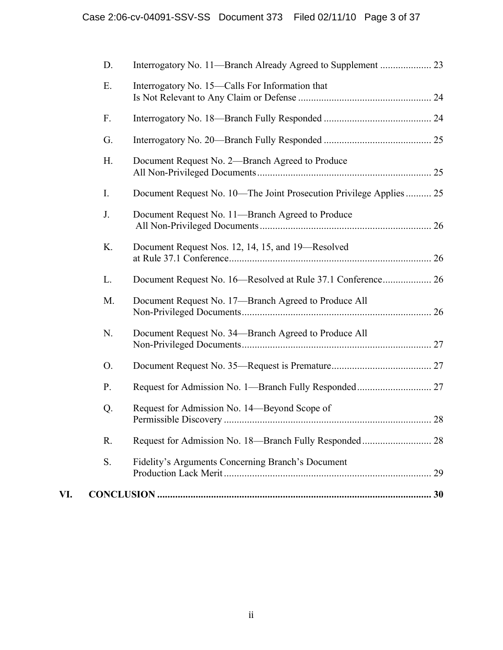|     | D.          |                                                                     |  |
|-----|-------------|---------------------------------------------------------------------|--|
|     | Ε.          | Interrogatory No. 15—Calls For Information that                     |  |
|     | F.          |                                                                     |  |
|     | G.          |                                                                     |  |
|     | H.          | Document Request No. 2—Branch Agreed to Produce                     |  |
|     | $I_{\cdot}$ | Document Request No. 10—The Joint Prosecution Privilege Applies  25 |  |
|     | J.          | Document Request No. 11-Branch Agreed to Produce                    |  |
|     | K.          | Document Request Nos. 12, 14, 15, and 19—Resolved                   |  |
|     | L.          | Document Request No. 16-Resolved at Rule 37.1 Conference 26         |  |
|     | M.          | Document Request No. 17-Branch Agreed to Produce All                |  |
|     | N.          | Document Request No. 34—Branch Agreed to Produce All                |  |
|     | O.          |                                                                     |  |
|     | P.          |                                                                     |  |
|     | Q.          | Request for Admission No. 14—Beyond Scope of                        |  |
|     | R.          |                                                                     |  |
|     | S.          | Fidelity's Arguments Concerning Branch's Document                   |  |
| VI. |             |                                                                     |  |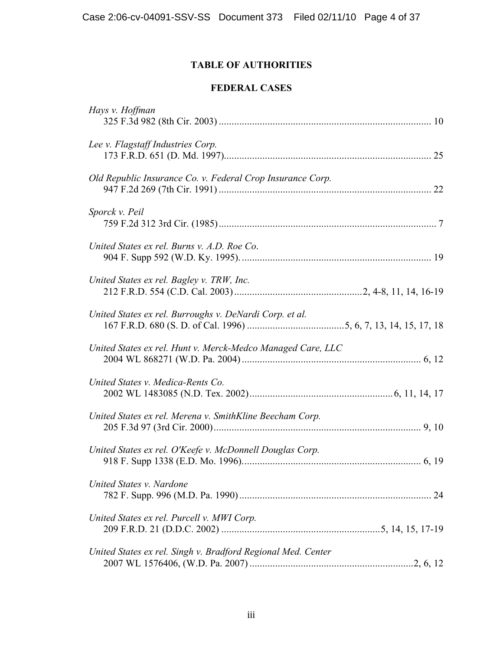## **TABLE OF AUTHORITIES**

## **FEDERAL CASES**

| Hays v. Hoffman                                              |
|--------------------------------------------------------------|
| Lee v. Flagstaff Industries Corp.                            |
| Old Republic Insurance Co. v. Federal Crop Insurance Corp.   |
| Sporck v. Peil                                               |
| United States ex rel. Burns v. A.D. Roe Co.                  |
| United States ex rel. Bagley v. TRW, Inc.                    |
| United States ex rel. Burroughs v. DeNardi Corp. et al.      |
| United States ex rel. Hunt v. Merck-Medco Managed Care, LLC  |
| United States v. Medica-Rents Co.                            |
| United States ex rel. Merena v. SmithKline Beecham Corp.     |
| United States ex rel. O'Keefe v. McDonnell Douglas Corp.     |
| United States v. Nardone                                     |
| United States ex rel. Purcell v. MWI Corp.                   |
| United States ex rel. Singh v. Bradford Regional Med. Center |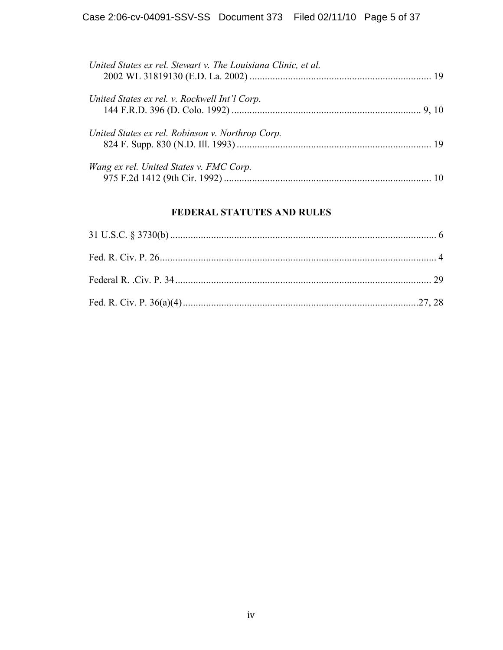| United States ex rel. Stewart v. The Louisiana Clinic, et al. |  |
|---------------------------------------------------------------|--|
| United States ex rel. v. Rockwell Int'l Corp.                 |  |
| United States ex rel. Robinson v. Northrop Corp.              |  |
| Wang ex rel. United States v. FMC Corp.                       |  |

## **FEDERAL STATUTES AND RULES**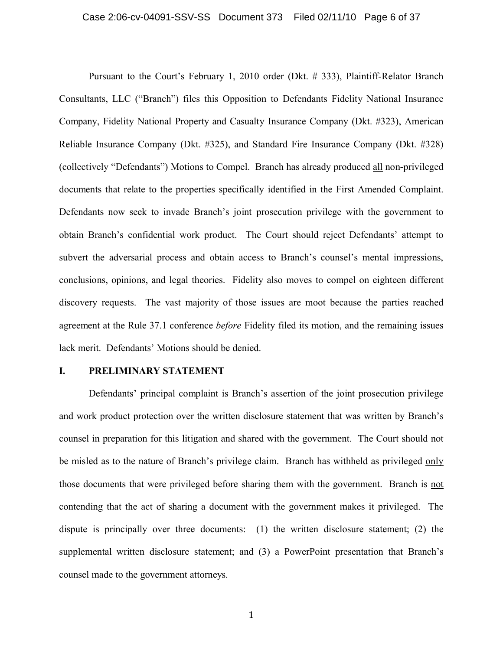Pursuant to the Court's February 1, 2010 order (Dkt. # 333), Plaintiff-Relator Branch Consultants, LLC ("Branch") files this Opposition to Defendants Fidelity National Insurance Company, Fidelity National Property and Casualty Insurance Company (Dkt. #323), American Reliable Insurance Company (Dkt. #325), and Standard Fire Insurance Company (Dkt. #328) (collectively "Defendants") Motions to Compel. Branch has already produced all non-privileged documents that relate to the properties specifically identified in the First Amended Complaint. Defendants now seek to invade Branch's joint prosecution privilege with the government to obtain Branch's confidential work product. The Court should reject Defendants' attempt to subvert the adversarial process and obtain access to Branch's counsel's mental impressions, conclusions, opinions, and legal theories. Fidelity also moves to compel on eighteen different discovery requests. The vast majority of those issues are moot because the parties reached agreement at the Rule 37.1 conference *before* Fidelity filed its motion, and the remaining issues lack merit. Defendants' Motions should be denied.

## **I. PRELIMINARY STATEMENT**

Defendants' principal complaint is Branch's assertion of the joint prosecution privilege and work product protection over the written disclosure statement that was written by Branch's counsel in preparation for this litigation and shared with the government. The Court should not be misled as to the nature of Branch's privilege claim. Branch has withheld as privileged only those documents that were privileged before sharing them with the government. Branch is not contending that the act of sharing a document with the government makes it privileged. The dispute is principally over three documents: (1) the written disclosure statement; (2) the supplemental written disclosure statement; and (3) a PowerPoint presentation that Branch's counsel made to the government attorneys.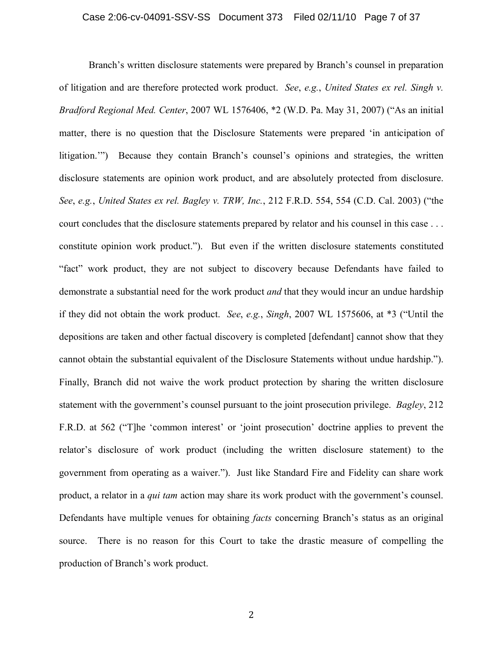Branch's written disclosure statements were prepared by Branch's counsel in preparation of litigation and are therefore protected work product. *See*, *e.g.*, *United States ex rel. Singh v. Bradford Regional Med. Center*, 2007 WL 1576406, \*2 (W.D. Pa. May 31, 2007) ("As an initial matter, there is no question that the Disclosure Statements were prepared 'in anticipation of litigation.'") Because they contain Branch's counsel's opinions and strategies, the written disclosure statements are opinion work product, and are absolutely protected from disclosure. *See*, *e.g.*, *United States ex rel. Bagley v. TRW, Inc.*, 212 F.R.D. 554, 554 (C.D. Cal. 2003) ("the court concludes that the disclosure statements prepared by relator and his counsel in this case . . . constitute opinion work product."). But even if the written disclosure statements constituted "fact" work product, they are not subject to discovery because Defendants have failed to demonstrate a substantial need for the work product *and* that they would incur an undue hardship if they did not obtain the work product. *See*, *e.g.*, *Singh*, 2007 WL 1575606, at \*3 ("Until the depositions are taken and other factual discovery is completed [defendant] cannot show that they cannot obtain the substantial equivalent of the Disclosure Statements without undue hardship."). Finally, Branch did not waive the work product protection by sharing the written disclosure statement with the government's counsel pursuant to the joint prosecution privilege. *Bagley*, 212 F.R.D. at 562 ("T]he 'common interest' or 'joint prosecution' doctrine applies to prevent the relator's disclosure of work product (including the written disclosure statement) to the government from operating as a waiver."). Just like Standard Fire and Fidelity can share work product, a relator in a *qui tam* action may share its work product with the government's counsel. Defendants have multiple venues for obtaining *facts* concerning Branch's status as an original source. There is no reason for this Court to take the drastic measure of compelling the production of Branch's work product.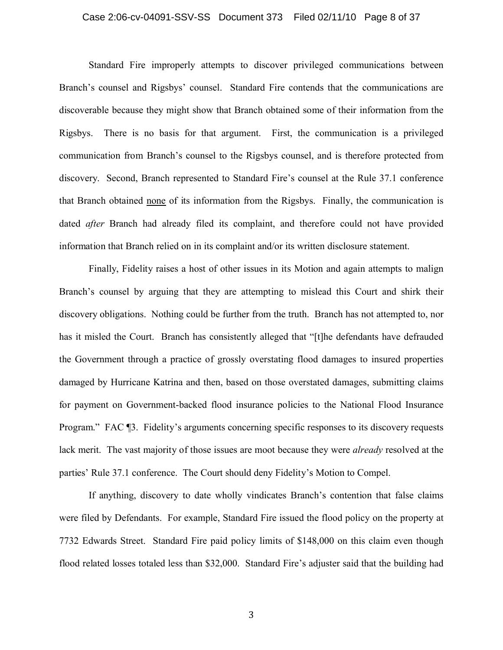#### Case 2:06-cv-04091-SSV-SS Document 373 Filed 02/11/10 Page 8 of 37

Standard Fire improperly attempts to discover privileged communications between Branch's counsel and Rigsbys' counsel. Standard Fire contends that the communications are discoverable because they might show that Branch obtained some of their information from the Rigsbys. There is no basis for that argument. First, the communication is a privileged communication from Branch's counsel to the Rigsbys counsel, and is therefore protected from discovery. Second, Branch represented to Standard Fire's counsel at the Rule 37.1 conference that Branch obtained none of its information from the Rigsbys. Finally, the communication is dated *after* Branch had already filed its complaint, and therefore could not have provided information that Branch relied on in its complaint and/or its written disclosure statement.

Finally, Fidelity raises a host of other issues in its Motion and again attempts to malign Branch's counsel by arguing that they are attempting to mislead this Court and shirk their discovery obligations. Nothing could be further from the truth. Branch has not attempted to, nor has it misled the Court. Branch has consistently alleged that "[t]he defendants have defrauded the Government through a practice of grossly overstating flood damages to insured properties damaged by Hurricane Katrina and then, based on those overstated damages, submitting claims for payment on Government-backed flood insurance policies to the National Flood Insurance Program." FAC ¶3. Fidelity's arguments concerning specific responses to its discovery requests lack merit. The vast majority of those issues are moot because they were *already* resolved at the parties' Rule 37.1 conference. The Court should deny Fidelity's Motion to Compel.

If anything, discovery to date wholly vindicates Branch's contention that false claims were filed by Defendants. For example, Standard Fire issued the flood policy on the property at 7732 Edwards Street. Standard Fire paid policy limits of \$148,000 on this claim even though flood related losses totaled less than \$32,000. Standard Fire's adjuster said that the building had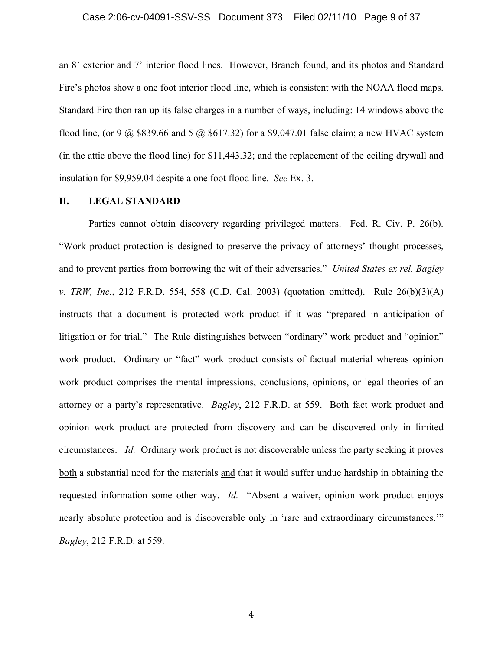an 8' exterior and 7' interior flood lines. However, Branch found, and its photos and Standard Fire's photos show a one foot interior flood line, which is consistent with the NOAA flood maps. Standard Fire then ran up its false charges in a number of ways, including: 14 windows above the flood line, (or 9  $\omega$  \$839.66 and 5  $\omega$  \$617.32) for a \$9,047.01 false claim; a new HVAC system (in the attic above the flood line) for \$11,443.32; and the replacement of the ceiling drywall and insulation for \$9,959.04 despite a one foot flood line. *See* Ex. 3.

## **II. LEGAL STANDARD**

Parties cannot obtain discovery regarding privileged matters. Fed. R. Civ. P. 26(b). "Work product protection is designed to preserve the privacy of attorneys' thought processes, and to prevent parties from borrowing the wit of their adversaries." *United States ex rel. Bagley v. TRW, Inc.*, 212 F.R.D. 554, 558 (C.D. Cal. 2003) (quotation omitted). Rule 26(b)(3)(A) instructs that a document is protected work product if it was "prepared in anticipation of litigation or for trial." The Rule distinguishes between "ordinary" work product and "opinion" work product. Ordinary or "fact" work product consists of factual material whereas opinion work product comprises the mental impressions, conclusions, opinions, or legal theories of an attorney or a party's representative. *Bagley*, 212 F.R.D. at 559. Both fact work product and opinion work product are protected from discovery and can be discovered only in limited circumstances. *Id.* Ordinary work product is not discoverable unless the party seeking it proves both a substantial need for the materials and that it would suffer undue hardship in obtaining the requested information some other way. *Id.* "Absent a waiver, opinion work product enjoys nearly absolute protection and is discoverable only in 'rare and extraordinary circumstances.'" *Bagley*, 212 F.R.D. at 559.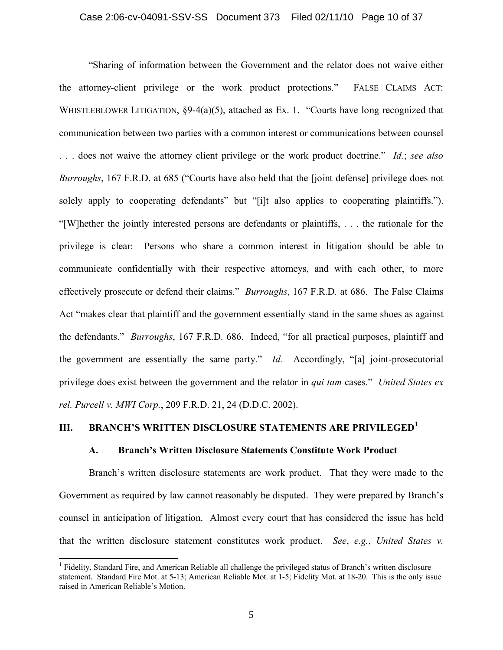"Sharing of information between the Government and the relator does not waive either the attorney-client privilege or the work product protections." FALSE CLAIMS ACT: WHISTLEBLOWER LITIGATION,  $\S 9-4(a)(5)$ , attached as Ex. 1. "Courts have long recognized that communication between two parties with a common interest or communications between counsel . . . does not waive the attorney client privilege or the work product doctrine." *Id.*; *see also Burroughs*, 167 F.R.D. at 685 ("Courts have also held that the [joint defense] privilege does not solely apply to cooperating defendants" but "[i]t also applies to cooperating plaintiffs."). "[W]hether the jointly interested persons are defendants or plaintiffs, . . . the rationale for the privilege is clear: Persons who share a common interest in litigation should be able to communicate confidentially with their respective attorneys, and with each other, to more effectively prosecute or defend their claims." *Burroughs*, 167 F.R.D*.* at 686. The False Claims Act "makes clear that plaintiff and the government essentially stand in the same shoes as against the defendants." *Burroughs*, 167 F.R.D. 686. Indeed, "for all practical purposes, plaintiff and the government are essentially the same party." *Id.* Accordingly, "[a] joint-prosecutorial privilege does exist between the government and the relator in *qui tam* cases." *United States ex rel. Purcell v. MWI Corp.*, 209 F.R.D. 21, 24 (D.D.C. 2002).

## **III. BRANCH'S WRITTEN DISCLOSURE STATEMENTS ARE PRIVILEGED<sup>1</sup>**

#### **A. Branch's Written Disclosure Statements Constitute Work Product**

Branch's written disclosure statements are work product. That they were made to the Government as required by law cannot reasonably be disputed. They were prepared by Branch's counsel in anticipation of litigation. Almost every court that has considered the issue has held that the written disclosure statement constitutes work product. *See*, *e.g.*, *United States v.* 

<sup>&</sup>lt;sup>1</sup> Fidelity, Standard Fire, and American Reliable all challenge the privileged status of Branch's written disclosure statement. Standard Fire Mot. at 5-13; American Reliable Mot. at 1-5; Fidelity Mot. at 18-20. This is the only issue raised in American Reliable's Motion.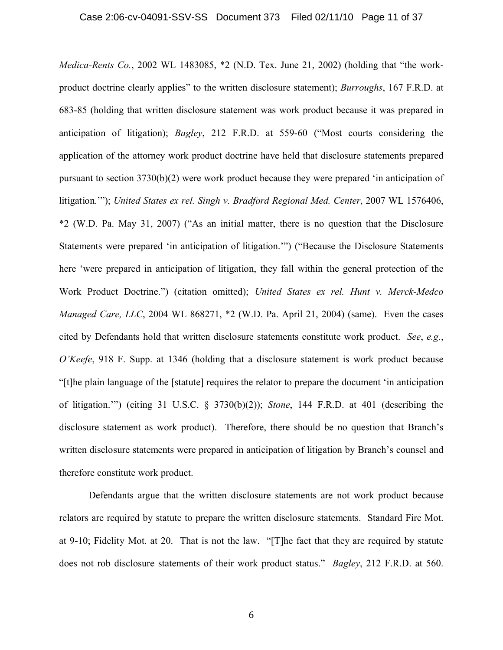*Medica-Rents Co.*, 2002 WL 1483085, \*2 (N.D. Tex. June 21, 2002) (holding that "the workproduct doctrine clearly applies" to the written disclosure statement); *Burroughs*, 167 F.R.D. at 683-85 (holding that written disclosure statement was work product because it was prepared in anticipation of litigation); *Bagley*, 212 F.R.D. at 559-60 ("Most courts considering the application of the attorney work product doctrine have held that disclosure statements prepared pursuant to section 3730(b)(2) were work product because they were prepared 'in anticipation of litigation.""); *United States ex rel. Singh v. Bradford Regional Med. Center*, 2007 WL 1576406, \*2 (W.D. Pa. May 31, 2007) ("As an initial matter, there is no question that the Disclosure Statements were prepared 'in anticipation of litigation.'") ("Because the Disclosure Statements here 'were prepared in anticipation of litigation, they fall within the general protection of the Work Product Doctrine.") (citation omitted); *United States ex rel. Hunt v. Merck-Medco Managed Care, LLC*, 2004 WL 868271, \*2 (W.D. Pa. April 21, 2004) (same). Even the cases cited by Defendants hold that written disclosure statements constitute work product. *See*, *e.g.*, *O'Keefe*, 918 F. Supp. at 1346 (holding that a disclosure statement is work product because "[t]he plain language of the [statute] requires the relator to prepare the document 'in anticipation of litigation.'") (citing 31 U.S.C. § 3730(b)(2)); *Stone*, 144 F.R.D. at 401 (describing the disclosure statement as work product). Therefore, there should be no question that Branch's written disclosure statements were prepared in anticipation of litigation by Branch's counsel and therefore constitute work product.

Defendants argue that the written disclosure statements are not work product because relators are required by statute to prepare the written disclosure statements. Standard Fire Mot. at 9-10; Fidelity Mot. at 20. That is not the law. "[T]he fact that they are required by statute does not rob disclosure statements of their work product status." *Bagley*, 212 F.R.D. at 560.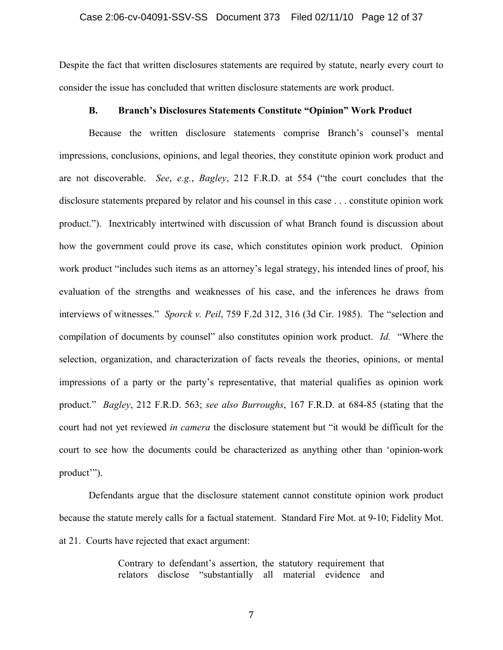Despite the fact that written disclosures statements are required by statute, nearly every court to consider the issue has concluded that written disclosure statements are work product.

## **B. Branch's Disclosures Statements Constitute "Opinion" Work Product**

Because the written disclosure statements comprise Branch's counsel's mental impressions, conclusions, opinions, and legal theories, they constitute opinion work product and are not discoverable. *See*, *e.g.*, *Bagley*, 212 F.R.D. at 554 ("the court concludes that the disclosure statements prepared by relator and his counsel in this case . . . constitute opinion work product."). Inextricably intertwined with discussion of what Branch found is discussion about how the government could prove its case, which constitutes opinion work product. Opinion work product "includes such items as an attorney's legal strategy, his intended lines of proof, his evaluation of the strengths and weaknesses of his case, and the inferences he draws from interviews of witnesses." *Sporck v. Peil*, 759 F.2d 312, 316 (3d Cir. 1985). The "selection and compilation of documents by counsel" also constitutes opinion work product. *Id.* "Where the selection, organization, and characterization of facts reveals the theories, opinions, or mental impressions of a party or the party's representative, that material qualifies as opinion work product." *Bagley*, 212 F.R.D. 563; *see also Burroughs*, 167 F.R.D. at 684-85 (stating that the court had not yet reviewed *in camera* the disclosure statement but "it would be difficult for the court to see how the documents could be characterized as anything other than 'opinion-work product'").

Defendants argue that the disclosure statement cannot constitute opinion work product because the statute merely calls for a factual statement. Standard Fire Mot. at 9-10; Fidelity Mot. at 21. Courts have rejected that exact argument:

> Contrary to defendant's assertion, the statutory requirement that relators disclose "substantially all material evidence and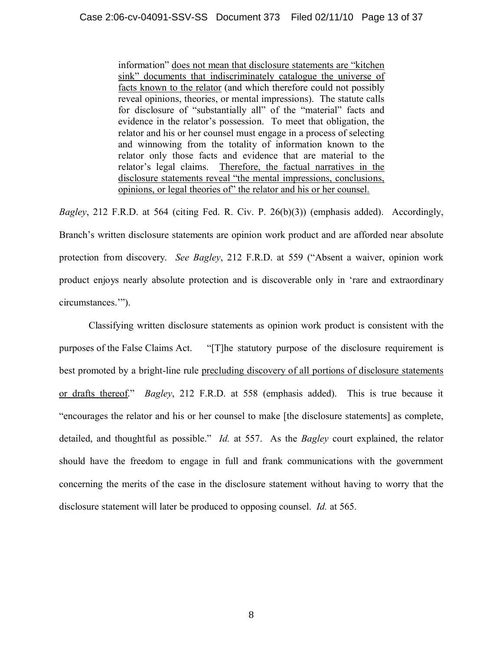information" does not mean that disclosure statements are "kitchen sink" documents that indiscriminately catalogue the universe of facts known to the relator (and which therefore could not possibly reveal opinions, theories, or mental impressions). The statute calls for disclosure of "substantially all" of the "material" facts and evidence in the relator's possession. To meet that obligation, the relator and his or her counsel must engage in a process of selecting and winnowing from the totality of information known to the relator only those facts and evidence that are material to the relator's legal claims. Therefore, the factual narratives in the disclosure statements reveal "the mental impressions, conclusions, opinions, or legal theories of" the relator and his or her counsel.

*Bagley*, 212 F.R.D. at 564 (citing Fed. R. Civ. P. 26(b)(3)) (emphasis added). Accordingly, Branch's written disclosure statements are opinion work product and are afforded near absolute protection from discovery. *See Bagley*, 212 F.R.D. at 559 ("Absent a waiver, opinion work product enjoys nearly absolute protection and is discoverable only in 'rare and extraordinary circumstances.'").

Classifying written disclosure statements as opinion work product is consistent with the purposes of the False Claims Act. "[T]he statutory purpose of the disclosure requirement is best promoted by a bright-line rule precluding discovery of all portions of disclosure statements or drafts thereof." *Bagley*, 212 F.R.D. at 558 (emphasis added). This is true because it "encourages the relator and his or her counsel to make [the disclosure statements] as complete, detailed, and thoughtful as possible." *Id.* at 557. As the *Bagley* court explained, the relator should have the freedom to engage in full and frank communications with the government concerning the merits of the case in the disclosure statement without having to worry that the disclosure statement will later be produced to opposing counsel. *Id.* at 565.

8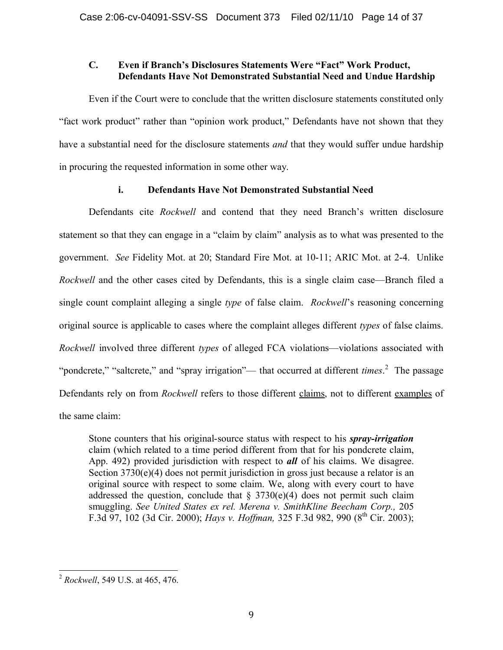## **C. Even if Branch's Disclosures Statements Were "Fact" Work Product, Defendants Have Not Demonstrated Substantial Need and Undue Hardship**

Even if the Court were to conclude that the written disclosure statements constituted only "fact work product" rather than "opinion work product," Defendants have not shown that they have a substantial need for the disclosure statements *and* that they would suffer undue hardship in procuring the requested information in some other way.

## **i. Defendants Have Not Demonstrated Substantial Need**

Defendants cite *Rockwell* and contend that they need Branch's written disclosure statement so that they can engage in a "claim by claim" analysis as to what was presented to the government. *See* Fidelity Mot. at 20; Standard Fire Mot. at 10-11; ARIC Mot. at 2-4. Unlike *Rockwell* and the other cases cited by Defendants, this is a single claim case—Branch filed a single count complaint alleging a single *type* of false claim. *Rockwell*'s reasoning concerning original source is applicable to cases where the complaint alleges different *types* of false claims. *Rockwell* involved three different *types* of alleged FCA violations—violations associated with "pondcrete," "saltcrete," and "spray irrigation"— that occurred at different *times*.<sup>2</sup> The passage Defendants rely on from *Rockwell* refers to those different claims, not to different examples of the same claim:

Stone counters that his original-source status with respect to his *spray-irrigation* claim (which related to a time period different from that for his pondcrete claim, App. 492) provided jurisdiction with respect to *all* of his claims. We disagree. Section  $3730(e)(4)$  does not permit jurisdiction in gross just because a relator is an original source with respect to some claim. We, along with every court to have addressed the question, conclude that  $\S 3730(e)(4)$  does not permit such claim smuggling. *See United States ex rel. Merena v. SmithKline Beecham Corp.,* 205 F.3d 97, 102 (3d Cir. 2000); *Hays v. Hoffman*, 325 F.3d 982, 990 (8<sup>th</sup> Cir. 2003);

<sup>2</sup> *Rockwell*, 549 U.S. at 465, 476.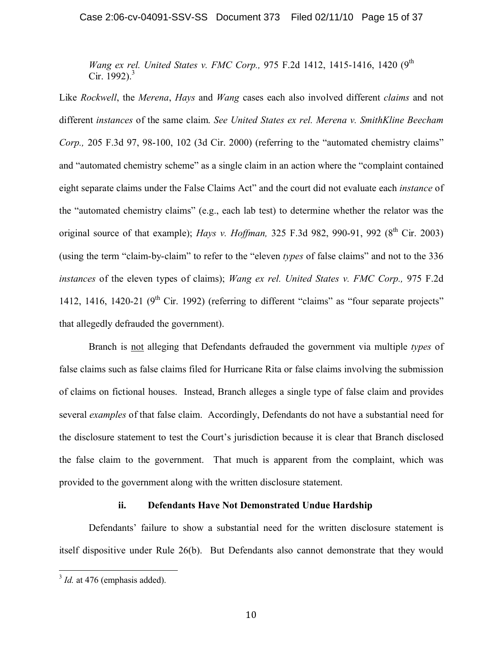*Wang ex rel. United States v. FMC Corp.*, 975 F.2d 1412, 1415-1416, 1420 (9<sup>th</sup>) Cir. 1992).<sup>3</sup>

Like *Rockwell*, the *Merena*, *Hays* and *Wang* cases each also involved different *claims* and not different *instances* of the same claim. *See United States ex rel. Merena v. SmithKline Beecham Corp.,* 205 F.3d 97, 98-100, 102 (3d Cir. 2000) (referring to the "automated chemistry claims" and "automated chemistry scheme" as a single claim in an action where the "complaint contained" eight separate claims under the False Claims Act" and the court did not evaluate each *instance* of the "automated chemistry claims" (e.g., each lab test) to determine whether the relator was the original source of that example); *Hays v. Hoffman*, 325 F.3d 982, 990-91, 992 (8<sup>th</sup> Cir. 2003) (using the term "claim-by-claim" to refer to the "eleven *types* of false claims" and not to the 336 *instances* of the eleven types of claims); *Wang ex rel. United States v. FMC Corp.,* 975 F.2d 1412, 1416, 1420-21 ( $9<sup>th</sup>$  Cir. 1992) (referring to different "claims" as "four separate projects" that allegedly defrauded the government).

Branch is not alleging that Defendants defrauded the government via multiple *types* of false claims such as false claims filed for Hurricane Rita or false claims involving the submission of claims on fictional houses. Instead, Branch alleges a single type of false claim and provides several *examples* of that false claim. Accordingly, Defendants do not have a substantial need for the disclosure statement to test the Court's jurisdiction because it is clear that Branch disclosed the false claim to the government. That much is apparent from the complaint, which was provided to the government along with the written disclosure statement.

### **ii. Defendants Have Not Demonstrated Undue Hardship**

Defendants' failure to show a substantial need for the written disclosure statement is itself dispositive under Rule 26(b). But Defendants also cannot demonstrate that they would

<sup>&</sup>lt;sup>3</sup> Id. at 476 (emphasis added).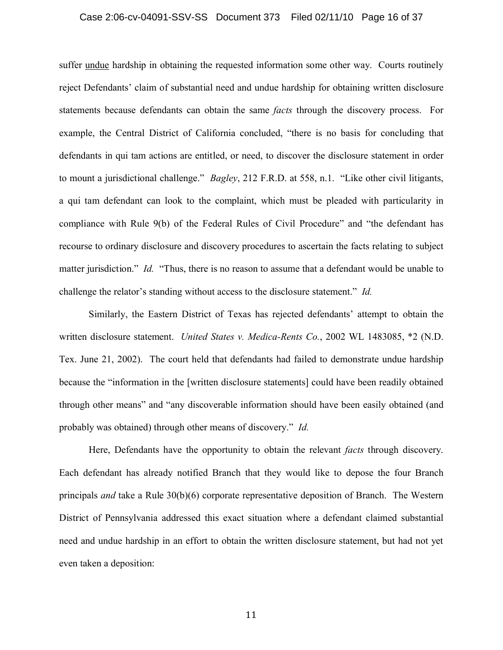#### Case 2:06-cv-04091-SSV-SS Document 373 Filed 02/11/10 Page 16 of 37

suffer undue hardship in obtaining the requested information some other way. Courts routinely reject Defendants' claim of substantial need and undue hardship for obtaining written disclosure statements because defendants can obtain the same *facts* through the discovery process. For example, the Central District of California concluded, "there is no basis for concluding that defendants in qui tam actions are entitled, or need, to discover the disclosure statement in order to mount a jurisdictional challenge." *Bagley*, 212 F.R.D. at 558, n.1. "Like other civil litigants, a qui tam defendant can look to the complaint, which must be pleaded with particularity in compliance with Rule 9(b) of the Federal Rules of Civil Procedure" and "the defendant has recourse to ordinary disclosure and discovery procedures to ascertain the facts relating to subject matter jurisdiction." *Id.* "Thus, there is no reason to assume that a defendant would be unable to challenge the relator's standing without access to the disclosure statement." *Id.*

Similarly, the Eastern District of Texas has rejected defendants' attempt to obtain the written disclosure statement. *United States v. Medica-Rents Co.*, 2002 WL 1483085, \*2 (N.D. Tex. June 21, 2002). The court held that defendants had failed to demonstrate undue hardship because the "information in the [written disclosure statements] could have been readily obtained through other means" and "any discoverable information should have been easily obtained (and probably was obtained) through other means of discovery." *Id.*

Here, Defendants have the opportunity to obtain the relevant *facts* through discovery. Each defendant has already notified Branch that they would like to depose the four Branch principals *and* take a Rule 30(b)(6) corporate representative deposition of Branch. The Western District of Pennsylvania addressed this exact situation where a defendant claimed substantial need and undue hardship in an effort to obtain the written disclosure statement, but had not yet even taken a deposition: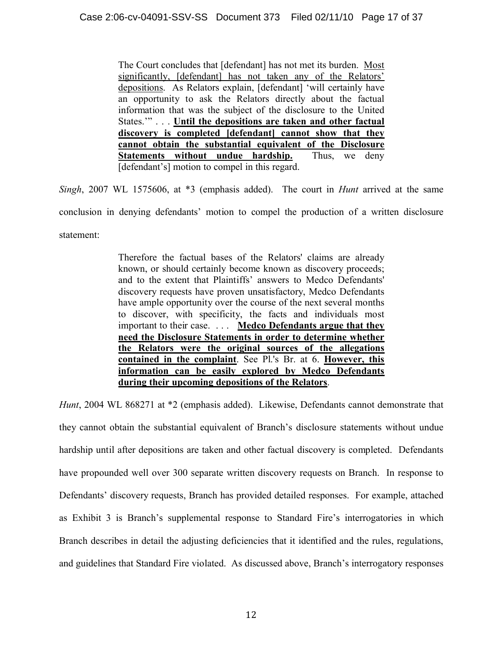The Court concludes that [defendant] has not met its burden. Most significantly, [defendant] has not taken any of the Relators' depositions. As Relators explain, [defendant] 'will certainly have an opportunity to ask the Relators directly about the factual information that was the subject of the disclosure to the United States.'" . . . **Until the depositions are taken and other factual discovery is completed [defendant] cannot show that they cannot obtain the substantial equivalent of the Disclosure Statements without undue hardship.** Thus, we deny [defendant's] motion to compel in this regard.

*Singh*, 2007 WL 1575606, at \*3 (emphasis added). The court in *Hunt* arrived at the same conclusion in denying defendants' motion to compel the production of a written disclosure statement:

> Therefore the factual bases of the Relators' claims are already known, or should certainly become known as discovery proceeds; and to the extent that Plaintiffs' answers to Medco Defendants' discovery requests have proven unsatisfactory, Medco Defendants have ample opportunity over the course of the next several months to discover, with specificity, the facts and individuals most important to their case. . . . **Medco Defendants argue that they need the Disclosure Statements in order to determine whether the Relators were the original sources of the allegations contained in the complaint**. See Pl.'s Br. at 6. **However, this information can be easily explored by Medco Defendants during their upcoming depositions of the Relators**.

*Hunt*, 2004 WL 868271 at \*2 (emphasis added). Likewise, Defendants cannot demonstrate that they cannot obtain the substantial equivalent of Branch's disclosure statements without undue hardship until after depositions are taken and other factual discovery is completed. Defendants have propounded well over 300 separate written discovery requests on Branch. In response to Defendants' discovery requests, Branch has provided detailed responses. For example, attached as Exhibit 3 is Branch's supplemental response to Standard Fire's interrogatories in which Branch describes in detail the adjusting deficiencies that it identified and the rules, regulations, and guidelines that Standard Fire violated. As discussed above, Branch's interrogatory responses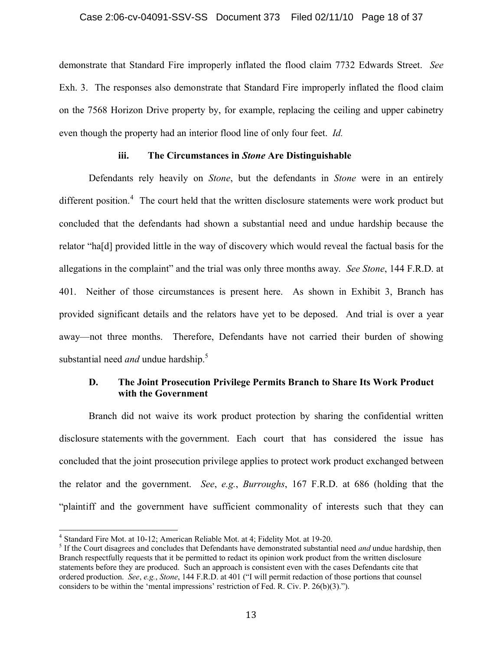## Case 2:06-cv-04091-SSV-SS Document 373 Filed 02/11/10 Page 18 of 37

demonstrate that Standard Fire improperly inflated the flood claim 7732 Edwards Street. *See* Exh. 3. The responses also demonstrate that Standard Fire improperly inflated the flood claim on the 7568 Horizon Drive property by, for example, replacing the ceiling and upper cabinetry even though the property had an interior flood line of only four feet. *Id.*

#### **iii. The Circumstances in** *Stone* **Are Distinguishable**

Defendants rely heavily on *Stone*, but the defendants in *Stone* were in an entirely different position.<sup>4</sup> The court held that the written disclosure statements were work product but concluded that the defendants had shown a substantial need and undue hardship because the relator "ha[d] provided little in the way of discovery which would reveal the factual basis for the allegations in the complaint" and the trial was only three months away. *See Stone*, 144 F.R.D. at 401. Neither of those circumstances is present here. As shown in Exhibit 3, Branch has provided significant details and the relators have yet to be deposed. And trial is over a year away—not three months. Therefore, Defendants have not carried their burden of showing substantial need *and* undue hardship.<sup>5</sup>

## **D. The Joint Prosecution Privilege Permits Branch to Share Its Work Product with the Government**

Branch did not waive its work product protection by sharing the confidential written disclosure statements with the government. Each court that has considered the issue has concluded that the joint prosecution privilege applies to protect work product exchanged between the relator and the government. *See*, *e.g.*, *Burroughs*, 167 F.R.D. at 686 (holding that the "plaintiff and the government have sufficient commonality of interests such that they can

<sup>4</sup> Standard Fire Mot. at 10-12; American Reliable Mot. at 4; Fidelity Mot. at 19-20.

<sup>&</sup>lt;sup>5</sup> If the Court disagrees and concludes that Defendants have demonstrated substantial need *and* undue hardship, then Branch respectfully requests that it be permitted to redact its opinion work product from the written disclosure statements before they are produced. Such an approach is consistent even with the cases Defendants cite that ordered production. *See*, *e.g.*, *Stone*, 144 F.R.D. at 401 ("I will permit redaction of those portions that counsel considers to be within the 'mental impressions' restriction of Fed. R. Civ. P. 26(b)(3).").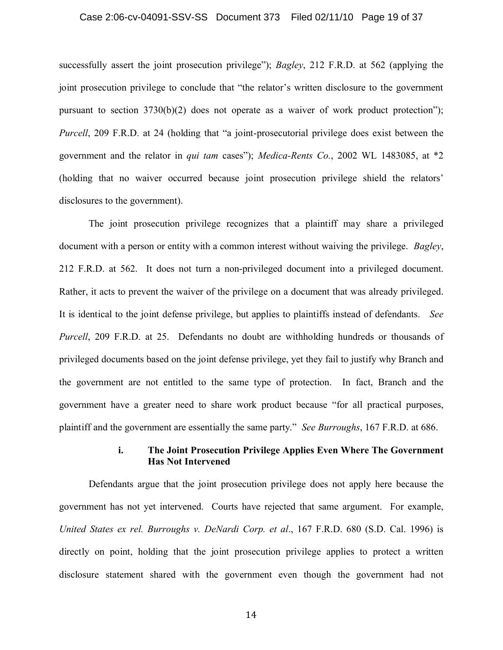#### Case 2:06-cv-04091-SSV-SS Document 373 Filed 02/11/10 Page 19 of 37

successfully assert the joint prosecution privilege"); *Bagley*, 212 F.R.D. at 562 (applying the joint prosecution privilege to conclude that "the relator's written disclosure to the government pursuant to section 3730(b)(2) does not operate as a waiver of work product protection"); *Purcell*, 209 F.R.D. at 24 (holding that "a joint-prosecutorial privilege does exist between the government and the relator in *qui tam* cases"); *Medica-Rents Co.*, 2002 WL 1483085, at \*2 (holding that no waiver occurred because joint prosecution privilege shield the relators' disclosures to the government).

The joint prosecution privilege recognizes that a plaintiff may share a privileged document with a person or entity with a common interest without waiving the privilege. *Bagley*, 212 F.R.D. at 562. It does not turn a non-privileged document into a privileged document. Rather, it acts to prevent the waiver of the privilege on a document that was already privileged. It is identical to the joint defense privilege, but applies to plaintiffs instead of defendants. *See Purcell*, 209 F.R.D. at 25. Defendants no doubt are withholding hundreds or thousands of privileged documents based on the joint defense privilege, yet they fail to justify why Branch and the government are not entitled to the same type of protection. In fact, Branch and the government have a greater need to share work product because "for all practical purposes, plaintiff and the government are essentially the same party." *See Burroughs*, 167 F.R.D. at 686.

## **i. The Joint Prosecution Privilege Applies Even Where The Government Has Not Intervened**

Defendants argue that the joint prosecution privilege does not apply here because the government has not yet intervened. Courts have rejected that same argument. For example, *United States ex rel. Burroughs v. DeNardi Corp. et al*., 167 F.R.D. 680 (S.D. Cal. 1996) is directly on point, holding that the joint prosecution privilege applies to protect a written disclosure statement shared with the government even though the government had not

14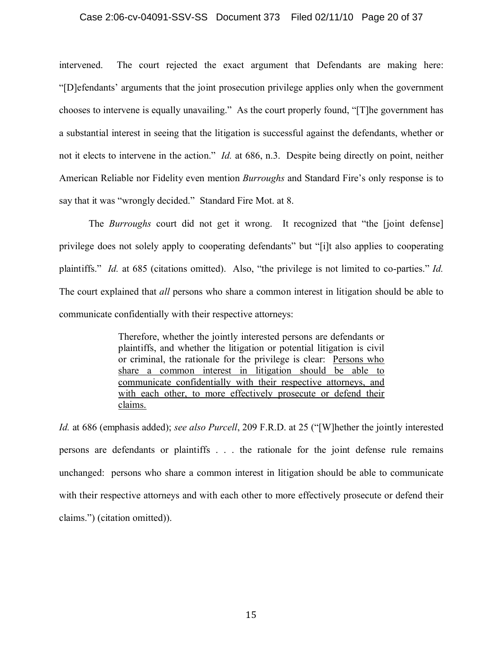#### Case 2:06-cv-04091-SSV-SS Document 373 Filed 02/11/10 Page 20 of 37

intervened. The court rejected the exact argument that Defendants are making here: "[D]efendants' arguments that the joint prosecution privilege applies only when the government chooses to intervene is equally unavailing." As the court properly found, "[T]he government has a substantial interest in seeing that the litigation is successful against the defendants, whether or not it elects to intervene in the action." *Id.* at 686, n.3. Despite being directly on point, neither American Reliable nor Fidelity even mention *Burroughs* and Standard Fire's only response is to say that it was "wrongly decided." Standard Fire Mot. at 8.

The *Burroughs* court did not get it wrong. It recognized that "the [joint defense] privilege does not solely apply to cooperating defendants" but "[i]t also applies to cooperating plaintiffs." *Id.* at 685 (citations omitted). Also, "the privilege is not limited to co-parties." *Id.* The court explained that *all* persons who share a common interest in litigation should be able to communicate confidentially with their respective attorneys:

> Therefore, whether the jointly interested persons are defendants or plaintiffs, and whether the litigation or potential litigation is civil or criminal, the rationale for the privilege is clear: Persons who share a common interest in litigation should be able to communicate confidentially with their respective attorneys, and with each other, to more effectively prosecute or defend their claims.

*Id.* at 686 (emphasis added); *see also Purcell*, 209 F.R.D. at 25 ("[W]hether the jointly interested persons are defendants or plaintiffs . . . the rationale for the joint defense rule remains unchanged: persons who share a common interest in litigation should be able to communicate with their respective attorneys and with each other to more effectively prosecute or defend their claims.") (citation omitted)).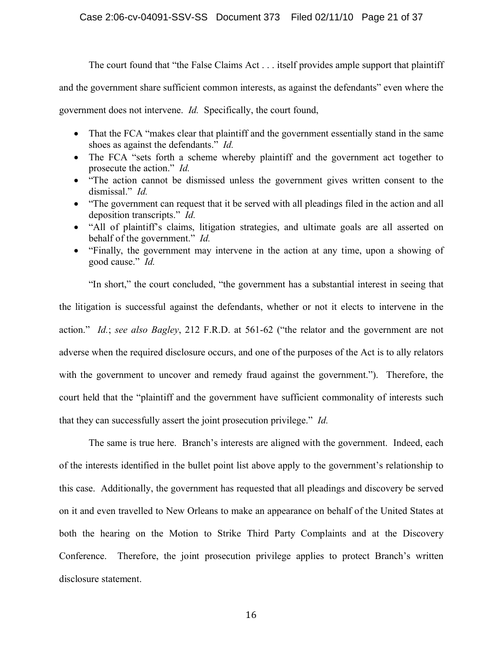## Case 2:06-cv-04091-SSV-SS Document 373 Filed 02/11/10 Page 21 of 37

The court found that "the False Claims Act . . . itself provides ample support that plaintiff

and the government share sufficient common interests, as against the defendants" even where the

government does not intervene. *Id.* Specifically, the court found,

- That the FCA "makes clear that plaintiff and the government essentially stand in the same shoes as against the defendants." *Id.*
- The FCA "sets forth a scheme whereby plaintiff and the government act together to prosecute the action." *Id.*
- · "The action cannot be dismissed unless the government gives written consent to the dismissal." *Id.*
- "The government can request that it be served with all pleadings filed in the action and all deposition transcripts." *Id.*
- "All of plaintiff's claims, litigation strategies, and ultimate goals are all asserted on behalf of the government." *Id.*
- · "Finally, the government may intervene in the action at any time, upon a showing of good cause." *Id.*

"In short," the court concluded, "the government has a substantial interest in seeing that the litigation is successful against the defendants, whether or not it elects to intervene in the action." *Id.*; *see also Bagley*, 212 F.R.D. at 561-62 ("the relator and the government are not adverse when the required disclosure occurs, and one of the purposes of the Act is to ally relators with the government to uncover and remedy fraud against the government."). Therefore, the court held that the "plaintiff and the government have sufficient commonality of interests such that they can successfully assert the joint prosecution privilege." *Id.*

The same is true here. Branch's interests are aligned with the government. Indeed, each of the interests identified in the bullet point list above apply to the government's relationship to this case. Additionally, the government has requested that all pleadings and discovery be served on it and even travelled to New Orleans to make an appearance on behalf of the United States at both the hearing on the Motion to Strike Third Party Complaints and at the Discovery Conference. Therefore, the joint prosecution privilege applies to protect Branch's written disclosure statement.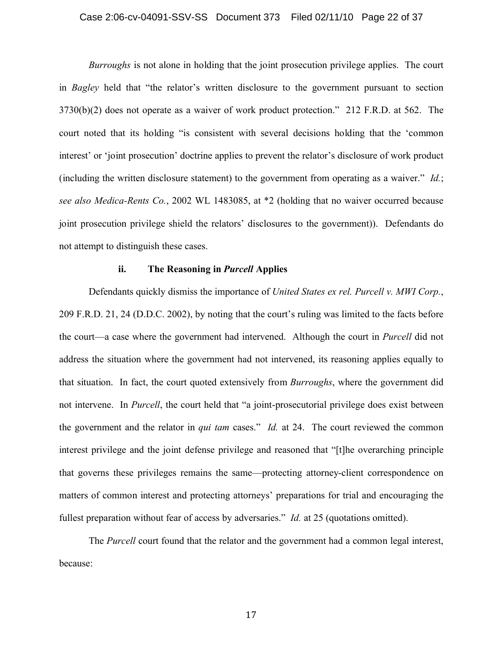#### Case 2:06-cv-04091-SSV-SS Document 373 Filed 02/11/10 Page 22 of 37

*Burroughs* is not alone in holding that the joint prosecution privilege applies. The court in *Bagley* held that "the relator's written disclosure to the government pursuant to section 3730(b)(2) does not operate as a waiver of work product protection." 212 F.R.D. at 562. The court noted that its holding "is consistent with several decisions holding that the 'common interest' or 'joint prosecution' doctrine applies to prevent the relator's disclosure of work product (including the written disclosure statement) to the government from operating as a waiver." *Id.*; *see also Medica-Rents Co.*, 2002 WL 1483085, at \*2 (holding that no waiver occurred because joint prosecution privilege shield the relators' disclosures to the government)). Defendants do not attempt to distinguish these cases.

## **ii. The Reasoning in** *Purcell* **Applies**

Defendants quickly dismiss the importance of *United States ex rel. Purcell v. MWI Corp.*, 209 F.R.D. 21, 24 (D.D.C. 2002), by noting that the court's ruling was limited to the facts before the court—a case where the government had intervened. Although the court in *Purcell* did not address the situation where the government had not intervened, its reasoning applies equally to that situation. In fact, the court quoted extensively from *Burroughs*, where the government did not intervene. In *Purcell*, the court held that "a joint-prosecutorial privilege does exist between the government and the relator in *qui tam* cases." *Id.* at 24. The court reviewed the common interest privilege and the joint defense privilege and reasoned that "[t]he overarching principle that governs these privileges remains the same—protecting attorney-client correspondence on matters of common interest and protecting attorneys' preparations for trial and encouraging the fullest preparation without fear of access by adversaries." *Id.* at 25 (quotations omitted).

The *Purcell* court found that the relator and the government had a common legal interest, because: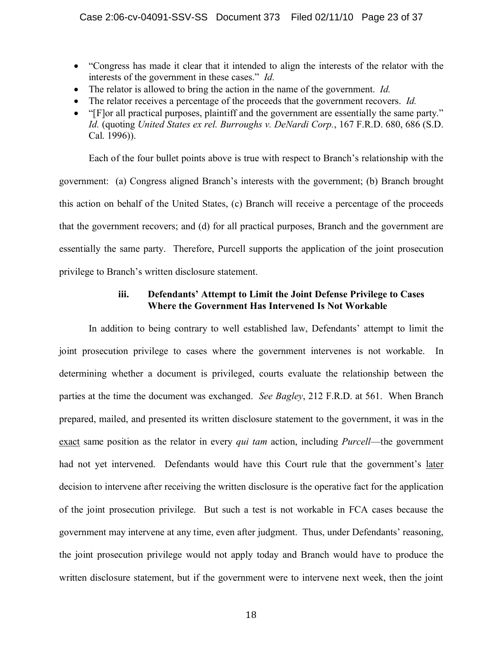- · "Congress has made it clear that it intended to align the interests of the relator with the interests of the government in these cases." *Id.*
- · The relator is allowed to bring the action in the name of the government. *Id.*
- The relator receives a percentage of the proceeds that the government recovers. *Id.*
- "[F]or all practical purposes, plaintiff and the government are essentially the same party." *Id.* (quoting *United States ex rel. Burroughs v. DeNardi Corp.*, 167 F.R.D. 680, 686 (S.D. Cal. 1996)).

Each of the four bullet points above is true with respect to Branch's relationship with the government: (a) Congress aligned Branch's interests with the government; (b) Branch brought this action on behalf of the United States, (c) Branch will receive a percentage of the proceeds that the government recovers; and (d) for all practical purposes, Branch and the government are essentially the same party. Therefore, Purcell supports the application of the joint prosecution privilege to Branch's written disclosure statement.

## **iii. Defendants' Attempt to Limit the Joint Defense Privilege to Cases Where the Government Has Intervened Is Not Workable**

In addition to being contrary to well established law, Defendants' attempt to limit the joint prosecution privilege to cases where the government intervenes is not workable. In determining whether a document is privileged, courts evaluate the relationship between the parties at the time the document was exchanged. *See Bagley*, 212 F.R.D. at 561. When Branch prepared, mailed, and presented its written disclosure statement to the government, it was in the exact same position as the relator in every *qui tam* action, including *Purcell*—the government had not yet intervened. Defendants would have this Court rule that the government's later decision to intervene after receiving the written disclosure is the operative fact for the application of the joint prosecution privilege. But such a test is not workable in FCA cases because the government may intervene at any time, even after judgment. Thus, under Defendants' reasoning, the joint prosecution privilege would not apply today and Branch would have to produce the written disclosure statement, but if the government were to intervene next week, then the joint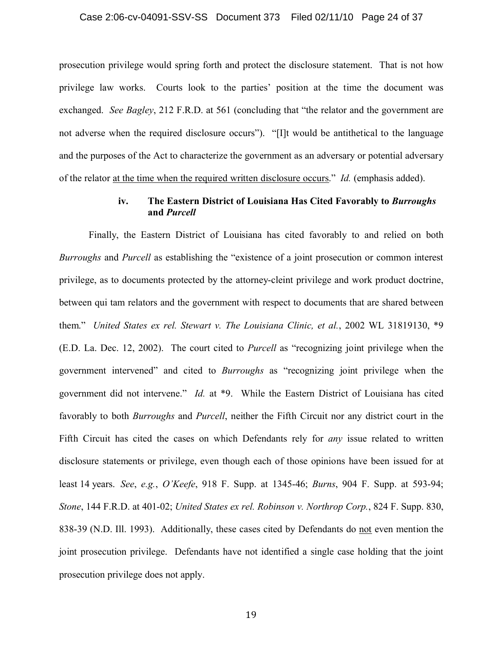#### Case 2:06-cv-04091-SSV-SS Document 373 Filed 02/11/10 Page 24 of 37

prosecution privilege would spring forth and protect the disclosure statement. That is not how privilege law works. Courts look to the parties' position at the time the document was exchanged. *See Bagley*, 212 F.R.D. at 561 (concluding that "the relator and the government are not adverse when the required disclosure occurs"). "[I]t would be antithetical to the language and the purposes of the Act to characterize the government as an adversary or potential adversary of the relator at the time when the required written disclosure occurs." *Id.* (emphasis added).

## **iv. The Eastern District of Louisiana Has Cited Favorably to** *Burroughs* **and** *Purcell*

Finally, the Eastern District of Louisiana has cited favorably to and relied on both *Burroughs* and *Purcell* as establishing the "existence of a joint prosecution or common interest privilege, as to documents protected by the attorney-cleint privilege and work product doctrine, between qui tam relators and the government with respect to documents that are shared between them." *United States ex rel. Stewart v. The Louisiana Clinic, et al.*, 2002 WL 31819130, \*9 (E.D. La. Dec. 12, 2002). The court cited to *Purcell* as "recognizing joint privilege when the government intervened" and cited to *Burroughs* as "recognizing joint privilege when the government did not intervene." *Id.* at \*9. While the Eastern District of Louisiana has cited favorably to both *Burroughs* and *Purcell*, neither the Fifth Circuit nor any district court in the Fifth Circuit has cited the cases on which Defendants rely for *any* issue related to written disclosure statements or privilege, even though each of those opinions have been issued for at least 14 years. *See*, *e.g.*, *O'Keefe*, 918 F. Supp. at 1345-46; *Burns*, 904 F. Supp. at 593-94; *Stone*, 144 F.R.D. at 401-02; *United States ex rel. Robinson v. Northrop Corp.*, 824 F. Supp. 830, 838-39 (N.D. Ill. 1993). Additionally, these cases cited by Defendants do not even mention the joint prosecution privilege. Defendants have not identified a single case holding that the joint prosecution privilege does not apply.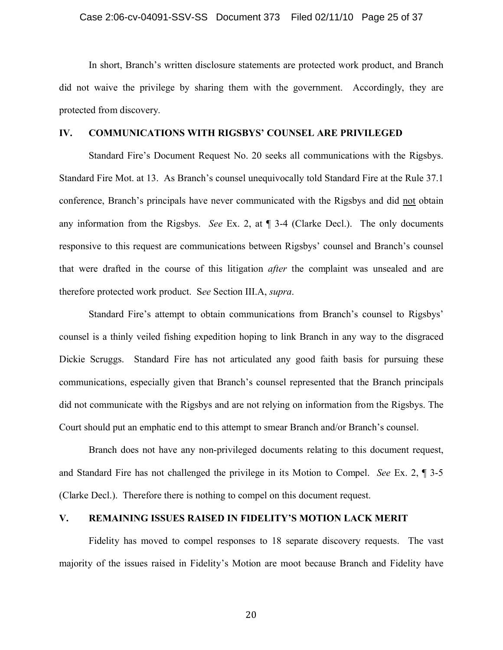In short, Branch's written disclosure statements are protected work product, and Branch did not waive the privilege by sharing them with the government. Accordingly, they are protected from discovery.

#### **IV. COMMUNICATIONS WITH RIGSBYS' COUNSEL ARE PRIVILEGED**

Standard Fire's Document Request No. 20 seeks all communications with the Rigsbys. Standard Fire Mot. at 13. As Branch's counsel unequivocally told Standard Fire at the Rule 37.1 conference, Branch's principals have never communicated with the Rigsbys and did not obtain any information from the Rigsbys. *See* Ex. 2, at ¶ 3-4 (Clarke Decl.). The only documents responsive to this request are communications between Rigsbys' counsel and Branch's counsel that were drafted in the course of this litigation *after* the complaint was unsealed and are therefore protected work product. S*ee* Section III.A, *supra*.

Standard Fire's attempt to obtain communications from Branch's counsel to Rigsbys' counsel is a thinly veiled fishing expedition hoping to link Branch in any way to the disgraced Dickie Scruggs. Standard Fire has not articulated any good faith basis for pursuing these communications, especially given that Branch's counsel represented that the Branch principals did not communicate with the Rigsbys and are not relying on information from the Rigsbys. The Court should put an emphatic end to this attempt to smear Branch and/or Branch's counsel.

Branch does not have any non-privileged documents relating to this document request, and Standard Fire has not challenged the privilege in its Motion to Compel. *See* Ex. 2, ¶ 3-5 (Clarke Decl.). Therefore there is nothing to compel on this document request.

## **V. REMAINING ISSUES RAISED IN FIDELITY'S MOTION LACK MERIT**

Fidelity has moved to compel responses to 18 separate discovery requests. The vast majority of the issues raised in Fidelity's Motion are moot because Branch and Fidelity have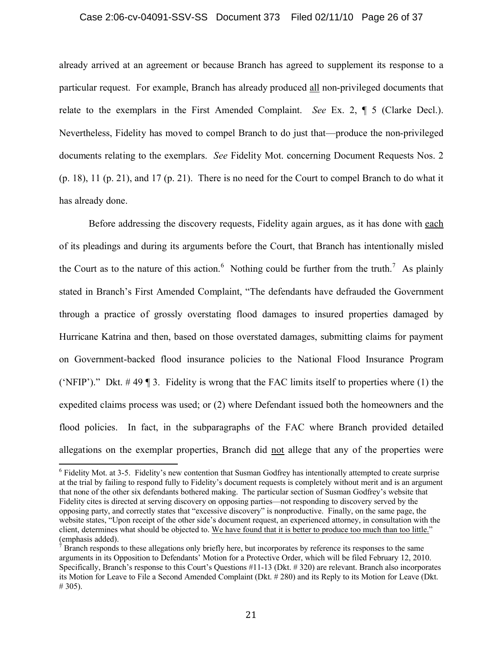#### Case 2:06-cv-04091-SSV-SS Document 373 Filed 02/11/10 Page 26 of 37

already arrived at an agreement or because Branch has agreed to supplement its response to a particular request. For example, Branch has already produced all non-privileged documents that relate to the exemplars in the First Amended Complaint. *See* Ex. 2, ¶ 5 (Clarke Decl.). Nevertheless, Fidelity has moved to compel Branch to do just that—produce the non-privileged documents relating to the exemplars. *See* Fidelity Mot. concerning Document Requests Nos. 2 (p. 18), 11 (p. 21), and 17 (p. 21). There is no need for the Court to compel Branch to do what it has already done.

Before addressing the discovery requests, Fidelity again argues, as it has done with each of its pleadings and during its arguments before the Court, that Branch has intentionally misled the Court as to the nature of this action.<sup>6</sup> Nothing could be further from the truth.<sup>7</sup> As plainly stated in Branch's First Amended Complaint, "The defendants have defrauded the Government through a practice of grossly overstating flood damages to insured properties damaged by Hurricane Katrina and then, based on those overstated damages, submitting claims for payment on Government-backed flood insurance policies to the National Flood Insurance Program ('NFIP')." Dkt.  $\#$  49 ¶ 3. Fidelity is wrong that the FAC limits itself to properties where (1) the expedited claims process was used; or (2) where Defendant issued both the homeowners and the flood policies. In fact, in the subparagraphs of the FAC where Branch provided detailed allegations on the exemplar properties, Branch did not allege that any of the properties were

<sup>&</sup>lt;sup>6</sup> Fidelity Mot. at 3-5. Fidelity's new contention that Susman Godfrey has intentionally attempted to create surprise at the trial by failing to respond fully to Fidelity's document requests is completely without merit and is an argument that none of the other six defendants bothered making. The particular section of Susman Godfrey's website that Fidelity cites is directed at serving discovery on opposing parties—not responding to discovery served by the opposing party, and correctly states that "excessive discovery" is nonproductive. Finally, on the same page, the website states, "Upon receipt of the other side's document request, an experienced attorney, in consultation with the client, determines what should be objected to. We have found that it is better to produce too much than too little." (emphasis added).

 $<sup>7</sup>$  Branch responds to these allegations only briefly here, but incorporates by reference its responses to the same</sup> arguments in its Opposition to Defendants' Motion for a Protective Order, which will be filed February 12, 2010. Specifically, Branch's response to this Court's Questions #11-13 (Dkt. # 320) are relevant. Branch also incorporates its Motion for Leave to File a Second Amended Complaint (Dkt. # 280) and its Reply to its Motion for Leave (Dkt. # 305).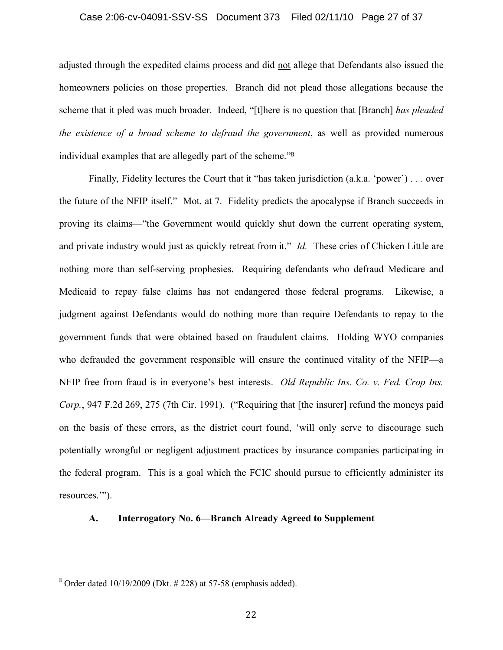#### Case 2:06-cv-04091-SSV-SS Document 373 Filed 02/11/10 Page 27 of 37

adjusted through the expedited claims process and did not allege that Defendants also issued the homeowners policies on those properties. Branch did not plead those allegations because the scheme that it pled was much broader. Indeed, "[t]here is no question that [Branch] *has pleaded the existence of a broad scheme to defraud the government*, as well as provided numerous individual examples that are allegedly part of the scheme."<sup>8</sup>

Finally, Fidelity lectures the Court that it "has taken jurisdiction (a.k.a. 'power') . . . over the future of the NFIP itself." Mot. at 7. Fidelity predicts the apocalypse if Branch succeeds in proving its claims—"the Government would quickly shut down the current operating system, and private industry would just as quickly retreat from it." *Id.* These cries of Chicken Little are nothing more than self-serving prophesies. Requiring defendants who defraud Medicare and Medicaid to repay false claims has not endangered those federal programs. Likewise, a judgment against Defendants would do nothing more than require Defendants to repay to the government funds that were obtained based on fraudulent claims. Holding WYO companies who defrauded the government responsible will ensure the continued vitality of the NFIP—a NFIP free from fraud is in everyone's best interests. *Old Republic Ins. Co. v. Fed. Crop Ins. Corp.*, 947 F.2d 269, 275 (7th Cir. 1991). ("Requiring that [the insurer] refund the moneys paid on the basis of these errors, as the district court found, 'will only serve to discourage such potentially wrongful or negligent adjustment practices by insurance companies participating in the federal program. This is a goal which the FCIC should pursue to efficiently administer its resources.'").

## **A. Interrogatory No. 6—Branch Already Agreed to Supplement**

 $8$  Order dated 10/19/2009 (Dkt.  $\#$  228) at 57-58 (emphasis added).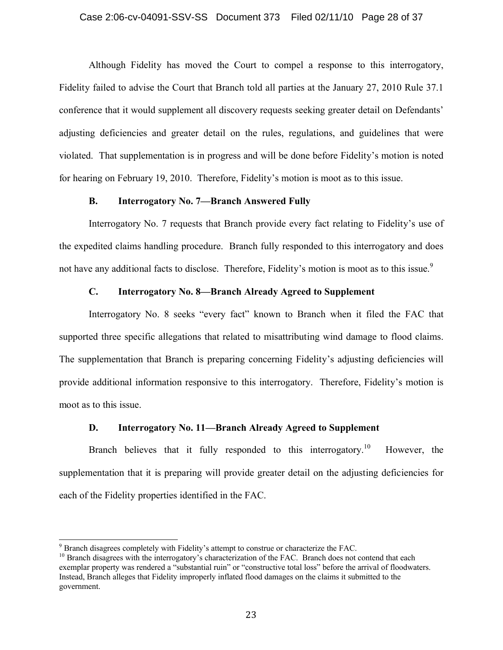## Case 2:06-cv-04091-SSV-SS Document 373 Filed 02/11/10 Page 28 of 37

Although Fidelity has moved the Court to compel a response to this interrogatory, Fidelity failed to advise the Court that Branch told all parties at the January 27, 2010 Rule 37.1 conference that it would supplement all discovery requests seeking greater detail on Defendants' adjusting deficiencies and greater detail on the rules, regulations, and guidelines that were violated. That supplementation is in progress and will be done before Fidelity's motion is noted for hearing on February 19, 2010. Therefore, Fidelity's motion is moot as to this issue.

## **B. Interrogatory No. 7—Branch Answered Fully**

Interrogatory No. 7 requests that Branch provide every fact relating to Fidelity's use of the expedited claims handling procedure. Branch fully responded to this interrogatory and does not have any additional facts to disclose. Therefore, Fidelity's motion is moot as to this issue.<sup>9</sup>

## **C. Interrogatory No. 8—Branch Already Agreed to Supplement**

Interrogatory No. 8 seeks "every fact" known to Branch when it filed the FAC that supported three specific allegations that related to misattributing wind damage to flood claims. The supplementation that Branch is preparing concerning Fidelity's adjusting deficiencies will provide additional information responsive to this interrogatory. Therefore, Fidelity's motion is moot as to this issue.

## **D. Interrogatory No. 11—Branch Already Agreed to Supplement**

Branch believes that it fully responded to this interrogatory.<sup>10</sup> However, the supplementation that it is preparing will provide greater detail on the adjusting deficiencies for each of the Fidelity properties identified in the FAC.

<sup>9</sup> Branch disagrees completely with Fidelity's attempt to construe or characterize the FAC.

 $10$  Branch disagrees with the interrogatory's characterization of the FAC. Branch does not contend that each exemplar property was rendered a "substantial ruin" or "constructive total loss" before the arrival of floodwaters. Instead, Branch alleges that Fidelity improperly inflated flood damages on the claims it submitted to the government.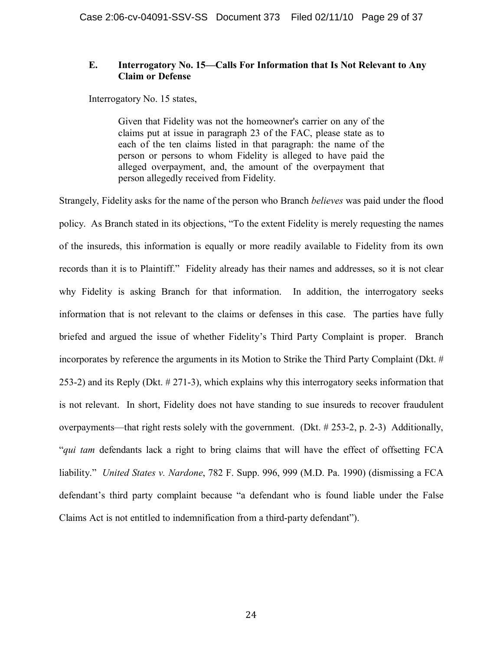## **E. Interrogatory No. 15—Calls For Information that Is Not Relevant to Any Claim or Defense**

Interrogatory No. 15 states,

Given that Fidelity was not the homeowner's carrier on any of the claims put at issue in paragraph 23 of the FAC, please state as to each of the ten claims listed in that paragraph: the name of the person or persons to whom Fidelity is alleged to have paid the alleged overpayment, and, the amount of the overpayment that person allegedly received from Fidelity.

Strangely, Fidelity asks for the name of the person who Branch *believes* was paid under the flood policy. As Branch stated in its objections, "To the extent Fidelity is merely requesting the names of the insureds, this information is equally or more readily available to Fidelity from its own records than it is to Plaintiff." Fidelity already has their names and addresses, so it is not clear why Fidelity is asking Branch for that information. In addition, the interrogatory seeks information that is not relevant to the claims or defenses in this case. The parties have fully briefed and argued the issue of whether Fidelity's Third Party Complaint is proper. Branch incorporates by reference the arguments in its Motion to Strike the Third Party Complaint (Dkt. # 253-2) and its Reply (Dkt. # 271-3), which explains why this interrogatory seeks information that is not relevant. In short, Fidelity does not have standing to sue insureds to recover fraudulent overpayments—that right rests solely with the government. (Dkt.  $\# 253-2$ , p. 2-3) Additionally, "*qui tam* defendants lack a right to bring claims that will have the effect of offsetting FCA liability." *United States v. Nardone*, 782 F. Supp. 996, 999 (M.D. Pa. 1990) (dismissing a FCA defendant's third party complaint because "a defendant who is found liable under the False Claims Act is not entitled to indemnification from a third-party defendant").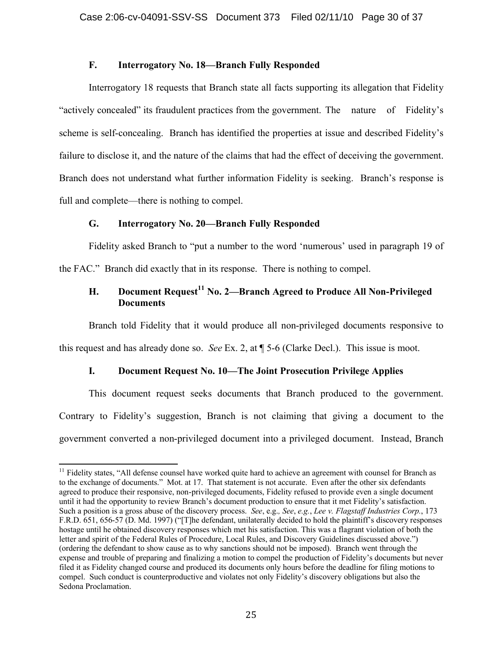## **F. Interrogatory No. 18—Branch Fully Responded**

Interrogatory 18 requests that Branch state all facts supporting its allegation that Fidelity "actively concealed" its fraudulent practices from the government. The nature of Fidelity's scheme is self-concealing. Branch has identified the properties at issue and described Fidelity's failure to disclose it, and the nature of the claims that had the effect of deceiving the government. Branch does not understand what further information Fidelity is seeking. Branch's response is full and complete—there is nothing to compel.

## **G. Interrogatory No. 20—Branch Fully Responded**

Fidelity asked Branch to "put a number to the word 'numerous' used in paragraph 19 of the FAC." Branch did exactly that in its response. There is nothing to compel.

## **H. Document Request<sup>11</sup> No. 2—Branch Agreed to Produce All Non-Privileged Documents**

Branch told Fidelity that it would produce all non-privileged documents responsive to

this request and has already done so. *See* Ex. 2, at ¶ 5-6 (Clarke Decl.). This issue is moot.

## **I. Document Request No. 10—The Joint Prosecution Privilege Applies**

This document request seeks documents that Branch produced to the government. Contrary to Fidelity's suggestion, Branch is not claiming that giving a document to the government converted a non-privileged document into a privileged document. Instead, Branch

 $11$  Fidelity states, "All defense counsel have worked quite hard to achieve an agreement with counsel for Branch as to the exchange of documents." Mot. at 17. That statement is not accurate. Even after the other six defendants agreed to produce their responsive, non-privileged documents, Fidelity refused to provide even a single document until it had the opportunity to review Branch's document production to ensure that it met Fidelity's satisfaction. Such a position is a gross abuse of the discovery process. *See*, e.g.*, See*, *e.g.*, *Lee v. Flagstaff Industries Corp.*, 173 F.R.D. 651, 656-57 (D. Md. 1997) ("[T]he defendant, unilaterally decided to hold the plaintiff's discovery responses hostage until he obtained discovery responses which met his satisfaction. This was a flagrant violation of both the letter and spirit of the Federal Rules of Procedure, Local Rules, and Discovery Guidelines discussed above.") (ordering the defendant to show cause as to why sanctions should not be imposed). Branch went through the expense and trouble of preparing and finalizing a motion to compel the production of Fidelity's documents but never filed it as Fidelity changed course and produced its documents only hours before the deadline for filing motions to compel. Such conduct is counterproductive and violates not only Fidelity's discovery obligations but also the Sedona Proclamation.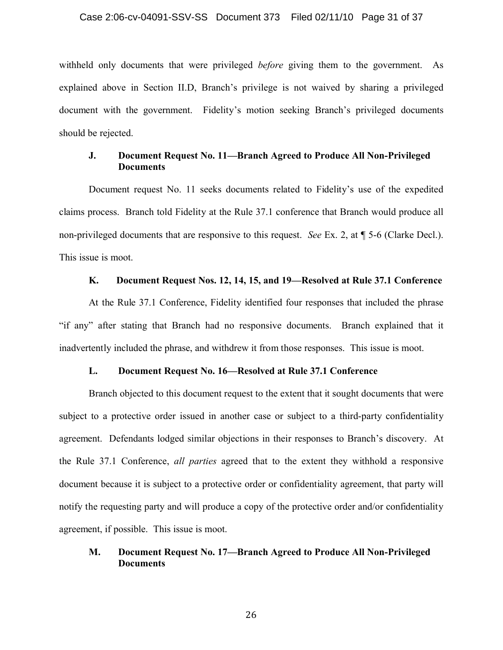withheld only documents that were privileged *before* giving them to the government. As explained above in Section II.D, Branch's privilege is not waived by sharing a privileged document with the government. Fidelity's motion seeking Branch's privileged documents should be rejected.

## **J. Document Request No. 11—Branch Agreed to Produce All Non-Privileged Documents**

Document request No. 11 seeks documents related to Fidelity's use of the expedited claims process. Branch told Fidelity at the Rule 37.1 conference that Branch would produce all non-privileged documents that are responsive to this request. *See* Ex. 2, at ¶ 5-6 (Clarke Decl.). This issue is moot.

## **K. Document Request Nos. 12, 14, 15, and 19—Resolved at Rule 37.1 Conference**

At the Rule 37.1 Conference, Fidelity identified four responses that included the phrase "if any" after stating that Branch had no responsive documents. Branch explained that it inadvertently included the phrase, and withdrew it from those responses. This issue is moot.

## **L. Document Request No. 16—Resolved at Rule 37.1 Conference**

Branch objected to this document request to the extent that it sought documents that were subject to a protective order issued in another case or subject to a third-party confidentiality agreement. Defendants lodged similar objections in their responses to Branch's discovery. At the Rule 37.1 Conference, *all parties* agreed that to the extent they withhold a responsive document because it is subject to a protective order or confidentiality agreement, that party will notify the requesting party and will produce a copy of the protective order and/or confidentiality agreement, if possible. This issue is moot.

## **M. Document Request No. 17—Branch Agreed to Produce All Non-Privileged Documents**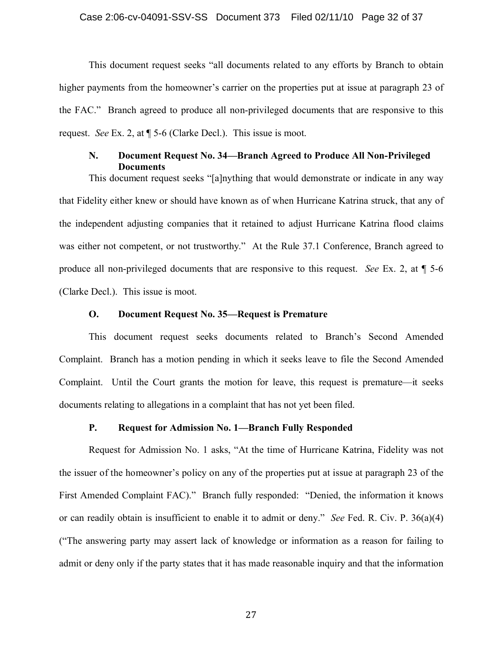This document request seeks "all documents related to any efforts by Branch to obtain higher payments from the homeowner's carrier on the properties put at issue at paragraph 23 of the FAC." Branch agreed to produce all non-privileged documents that are responsive to this request. *See* Ex. 2, at ¶ 5-6 (Clarke Decl.). This issue is moot.

## **N. Document Request No. 34—Branch Agreed to Produce All Non-Privileged Documents**

This document request seeks "[a]nything that would demonstrate or indicate in any way that Fidelity either knew or should have known as of when Hurricane Katrina struck, that any of the independent adjusting companies that it retained to adjust Hurricane Katrina flood claims was either not competent, or not trustworthy." At the Rule 37.1 Conference, Branch agreed to produce all non-privileged documents that are responsive to this request. *See* Ex. 2, at ¶ 5-6 (Clarke Decl.). This issue is moot.

#### **O. Document Request No. 35—Request is Premature**

This document request seeks documents related to Branch's Second Amended Complaint. Branch has a motion pending in which it seeks leave to file the Second Amended Complaint. Until the Court grants the motion for leave, this request is premature—it seeks documents relating to allegations in a complaint that has not yet been filed.

## **P. Request for Admission No. 1—Branch Fully Responded**

Request for Admission No. 1 asks, "At the time of Hurricane Katrina, Fidelity was not the issuer of the homeowner's policy on any of the properties put at issue at paragraph 23 of the First Amended Complaint FAC)." Branch fully responded: "Denied, the information it knows or can readily obtain is insufficient to enable it to admit or deny." *See* Fed. R. Civ. P. 36(a)(4) ("The answering party may assert lack of knowledge or information as a reason for failing to admit or deny only if the party states that it has made reasonable inquiry and that the information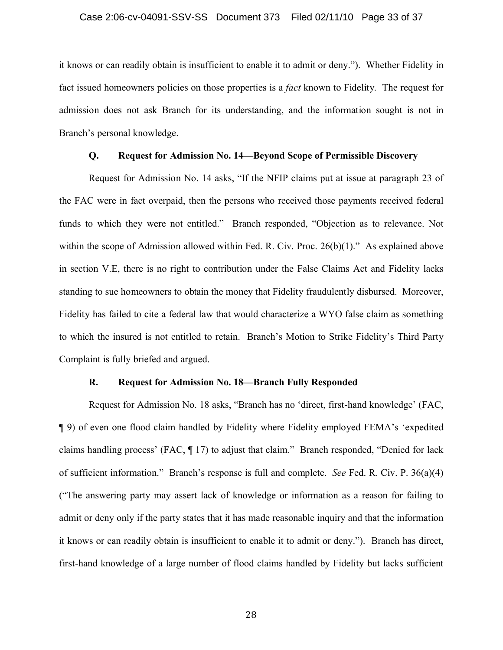it knows or can readily obtain is insufficient to enable it to admit or deny."). Whether Fidelity in fact issued homeowners policies on those properties is a *fact* known to Fidelity. The request for admission does not ask Branch for its understanding, and the information sought is not in Branch's personal knowledge.

#### **Q. Request for Admission No. 14—Beyond Scope of Permissible Discovery**

Request for Admission No. 14 asks, "If the NFIP claims put at issue at paragraph 23 of the FAC were in fact overpaid, then the persons who received those payments received federal funds to which they were not entitled." Branch responded, "Objection as to relevance. Not within the scope of Admission allowed within Fed. R. Civ. Proc. 26(b)(1)." As explained above in section V.E, there is no right to contribution under the False Claims Act and Fidelity lacks standing to sue homeowners to obtain the money that Fidelity fraudulently disbursed. Moreover, Fidelity has failed to cite a federal law that would characterize a WYO false claim as something to which the insured is not entitled to retain. Branch's Motion to Strike Fidelity's Third Party Complaint is fully briefed and argued.

#### **R. Request for Admission No. 18—Branch Fully Responded**

Request for Admission No. 18 asks, "Branch has no 'direct, first-hand knowledge' (FAC, ¶ 9) of even one flood claim handled by Fidelity where Fidelity employed FEMA's 'expedited claims handling process' (FAC, ¶ 17) to adjust that claim." Branch responded, "Denied for lack of sufficient information." Branch's response is full and complete. *See* Fed. R. Civ. P. 36(a)(4) ("The answering party may assert lack of knowledge or information as a reason for failing to admit or deny only if the party states that it has made reasonable inquiry and that the information it knows or can readily obtain is insufficient to enable it to admit or deny."). Branch has direct, first-hand knowledge of a large number of flood claims handled by Fidelity but lacks sufficient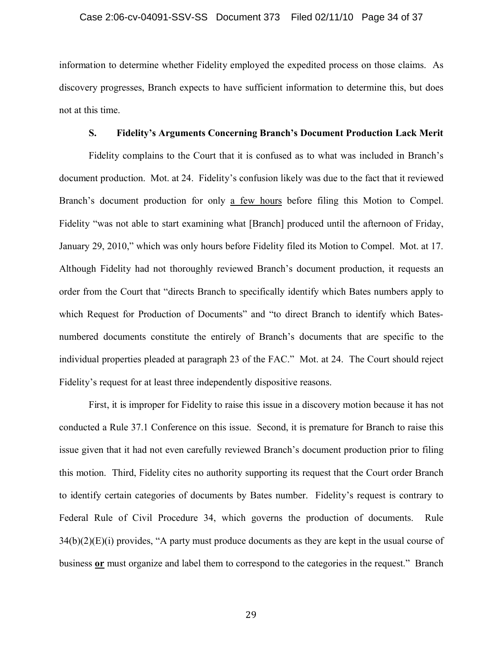information to determine whether Fidelity employed the expedited process on those claims. As discovery progresses, Branch expects to have sufficient information to determine this, but does not at this time.

#### **S. Fidelity's Arguments Concerning Branch's Document Production Lack Merit**

Fidelity complains to the Court that it is confused as to what was included in Branch's document production. Mot. at 24. Fidelity's confusion likely was due to the fact that it reviewed Branch's document production for only a few hours before filing this Motion to Compel. Fidelity "was not able to start examining what [Branch] produced until the afternoon of Friday, January 29, 2010," which was only hours before Fidelity filed its Motion to Compel. Mot. at 17. Although Fidelity had not thoroughly reviewed Branch's document production, it requests an order from the Court that "directs Branch to specifically identify which Bates numbers apply to which Request for Production of Documents" and "to direct Branch to identify which Batesnumbered documents constitute the entirely of Branch's documents that are specific to the individual properties pleaded at paragraph 23 of the FAC." Mot. at 24. The Court should reject Fidelity's request for at least three independently dispositive reasons.

First, it is improper for Fidelity to raise this issue in a discovery motion because it has not conducted a Rule 37.1 Conference on this issue. Second, it is premature for Branch to raise this issue given that it had not even carefully reviewed Branch's document production prior to filing this motion. Third, Fidelity cites no authority supporting its request that the Court order Branch to identify certain categories of documents by Bates number. Fidelity's request is contrary to Federal Rule of Civil Procedure 34, which governs the production of documents. Rule  $34(b)(2)(E)(i)$  provides, "A party must produce documents as they are kept in the usual course of business **or** must organize and label them to correspond to the categories in the request." Branch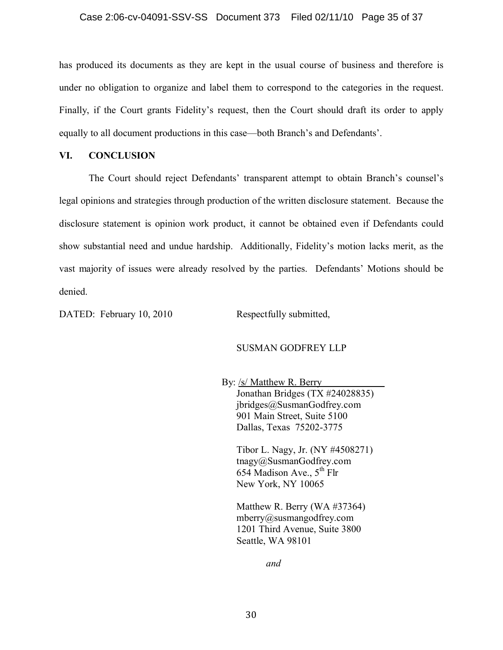## Case 2:06-cv-04091-SSV-SS Document 373 Filed 02/11/10 Page 35 of 37

has produced its documents as they are kept in the usual course of business and therefore is under no obligation to organize and label them to correspond to the categories in the request. Finally, if the Court grants Fidelity's request, then the Court should draft its order to apply equally to all document productions in this case—both Branch's and Defendants'.

## **VI. CONCLUSION**

The Court should reject Defendants' transparent attempt to obtain Branch's counsel's legal opinions and strategies through production of the written disclosure statement. Because the disclosure statement is opinion work product, it cannot be obtained even if Defendants could show substantial need and undue hardship. Additionally, Fidelity's motion lacks merit, as the vast majority of issues were already resolved by the parties. Defendants' Motions should be denied.

DATED: February 10, 2010 Respectfully submitted,

## SUSMAN GODFREY LLP

By: /s/ Matthew R. Berry Jonathan Bridges (TX #24028835) jbridges@SusmanGodfrey.com 901 Main Street, Suite 5100 Dallas, Texas 75202-3775

Tibor L. Nagy, Jr. (NY #4508271) tnagy@SusmanGodfrey.com 654 Madison Ave.,  $5<sup>th</sup>$  Flr New York, NY 10065

Matthew R. Berry (WA #37364) mberry@susmangodfrey.com 1201 Third Avenue, Suite 3800 Seattle, WA 98101

*and*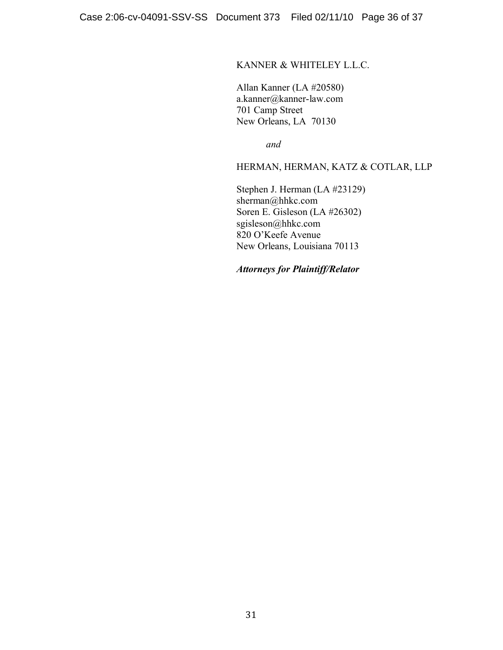## KANNER & WHITELEY L.L.C.

Allan Kanner (LA #20580) a.kanner@kanner-law.com 701 Camp Street New Orleans, LA 70130

*and*

HERMAN, HERMAN, KATZ & COTLAR, LLP

Stephen J. Herman (LA #23129) sherman@hhkc.com Soren E. Gisleson (LA #26302) sgisleson@hhkc.com 820 O'Keefe Avenue New Orleans, Louisiana 70113

*Attorneys for Plaintiff/Relator*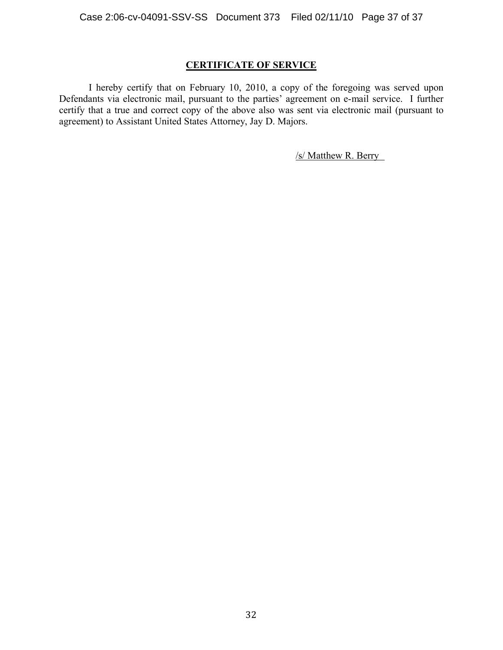## **CERTIFICATE OF SERVICE**

I hereby certify that on February 10, 2010, a copy of the foregoing was served upon Defendants via electronic mail, pursuant to the parties' agreement on e-mail service. I further certify that a true and correct copy of the above also was sent via electronic mail (pursuant to agreement) to Assistant United States Attorney, Jay D. Majors.

/s/ Matthew R. Berry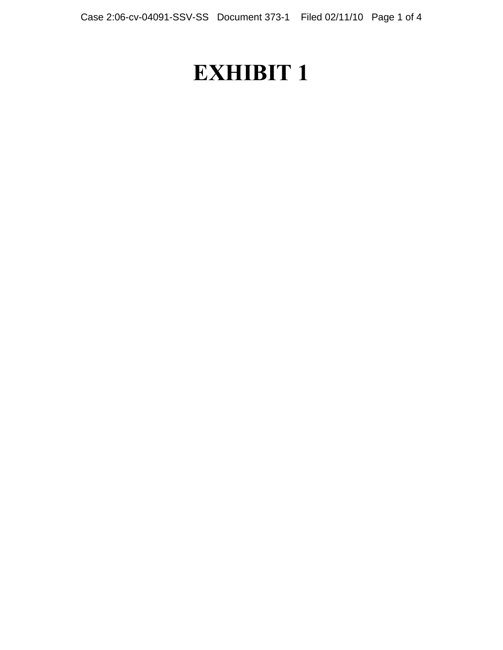# **EXHIBIT 1**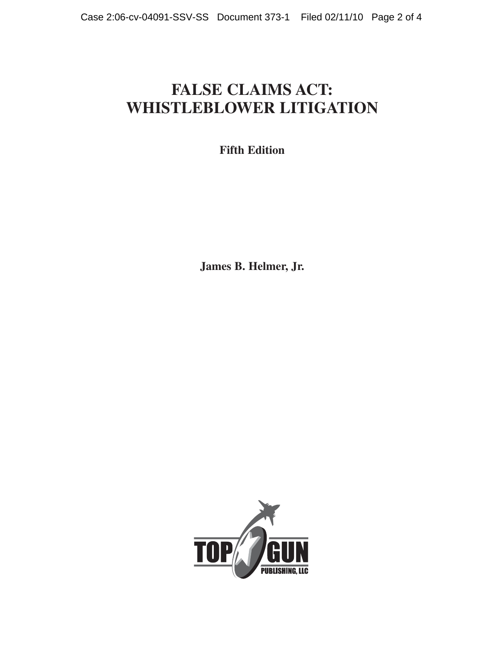## **FALSE CLAIMS ACT: WHISTLEBLOWER LITIGATION**

**Fifth Edition**

**James B. Helmer, Jr.** 

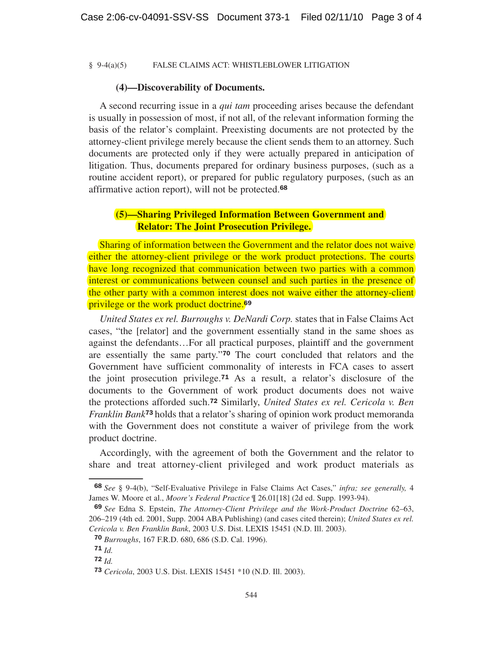#### § 9-4(a)(5) FALSE CLAIMS ACT: WHISTLEBLOWER LITIGATION

#### **(4)—Discoverability of Documents.**

A second recurring issue in a *qui tam* proceeding arises because the defendant is usually in possession of most, if not all, of the relevant information forming the basis of the relator's complaint. Preexisting documents are not protected by the attorney-client privilege merely because the client sends them to an attorney. Such documents are protected only if they were actually prepared in anticipation of litigation. Thus, documents prepared for ordinary business purposes, (such as a routine accident report), or prepared for public regulatory purposes, (such as an affirmative action report), will not be protected.<sup>68</sup>

## **(5)—Sharing Privileged Information Between Government and Relator: The Joint Prosecution Privilege.**

Sharing of information between the Government and the relator does not waive either the attorney-client privilege or the work product protections. The courts have long recognized that communication between two parties with a common interest or communications between counsel and such parties in the presence of the other party with a common interest does not waive either the attorney-client privilege or the work product doctrine.<sup>69</sup>

*United States ex rel. Burroughs v. DeNardi Corp.* states that in False Claims Act cases, "the [relator] and the government essentially stand in the same shoes as against the defendants…For all practical purposes, plaintiff and the government are essentially the same party."<sup>70</sup> The court concluded that relators and the Government have sufficient commonality of interests in FCA cases to assert the joint prosecution privilege.<sup>71</sup> As a result, a relator's disclosure of the documents to the Government of work product documents does not waive the protections afforded such.<sup>72</sup> Similarly, *United States ex rel. Cericola v. Ben Franklin Bank*<sup>73</sup> holds that a relator's sharing of opinion work product memoranda with the Government does not constitute a waiver of privilege from the work product doctrine.

Accordingly, with the agreement of both the Government and the relator to share and treat attorney-client privileged and work product materials as

**\_\_\_\_\_\_\_\_\_\_\_\_**

<sup>68</sup> *See* § 9-4(b), "Self-Evaluative Privilege in False Claims Act Cases," *infra; see generally,* 4 James W. Moore et al., *Moore's Federal Practice* ¶ 26.01[18] (2d ed. Supp. 1993-94).

<sup>69</sup> *See* Edna S. Epstein, *The Attorney-Client Privilege and the Work-Product Doctrine* 62–63, 206–219 (4th ed. 2001, Supp. 2004 ABA Publishing) (and cases cited therein); *United States ex rel. Cericola v. Ben Franklin Bank*, 2003 U.S. Dist. LEXIS 15451 (N.D. Ill. 2003).

<sup>70</sup> *Burroughs*, 167 F.R.D. 680, 686 (S.D. Cal. 1996).

<sup>71</sup> *Id.*

<sup>72</sup> *Id.*

<sup>73</sup> *Cericola*, 2003 U.S. Dist. LEXIS 15451 \*10 (N.D. Ill. 2003).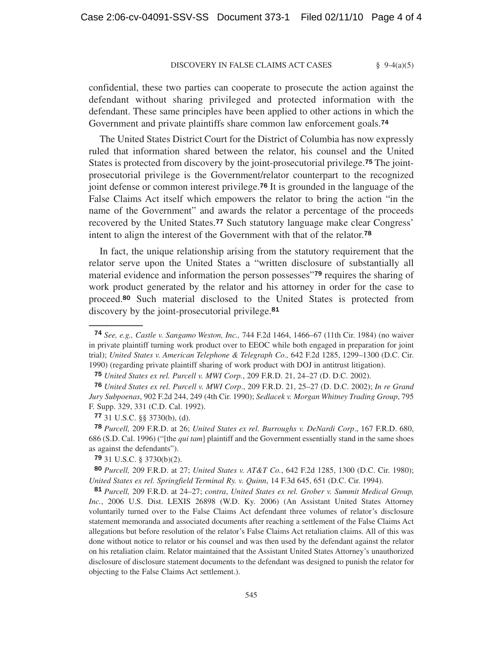#### DISCOVERY IN FALSE CLAIMS ACT CASES § 9-4(a)(5)

confidential, these two parties can cooperate to prosecute the action against the defendant without sharing privileged and protected information with the defendant. These same principles have been applied to other actions in which the Government and private plaintiffs share common law enforcement goals.<sup>74</sup>

The United States District Court for the District of Columbia has now expressly ruled that information shared between the relator, his counsel and the United States is protected from discovery by the joint-prosecutorial privilege.<sup>75</sup> The jointprosecutorial privilege is the Government/relator counterpart to the recognized joint defense or common interest privilege.<sup>76</sup> It is grounded in the language of the False Claims Act itself which empowers the relator to bring the action "in the name of the Government" and awards the relator a percentage of the proceeds recovered by the United States.<sup>77</sup> Such statutory language make clear Congress' intent to align the interest of the Government with that of the relator.<sup>78</sup>

In fact, the unique relationship arising from the statutory requirement that the relator serve upon the United States a "written disclosure of substantially all material evidence and information the person possesses"<sup>79</sup> requires the sharing of work product generated by the relator and his attorney in order for the case to proceed.<sup>80</sup> Such material disclosed to the United States is protected from discovery by the joint-prosecutorial privilege.<sup>81</sup>

**\_\_\_\_\_\_\_\_\_\_\_\_**

<sup>74</sup> *See, e.g., Castle v. Sangamo Weston, Inc.,* 744 F.2d 1464, 1466–67 (11th Cir. 1984) (no waiver in private plaintiff turning work product over to EEOC while both engaged in preparation for joint trial); *United States v. American Telephone & Telegraph Co.,* 642 F.2d 1285, 1299–1300 (D.C. Cir. 1990) (regarding private plaintiff sharing of work product with DOJ in antitrust litigation).

<sup>75</sup> *United States ex rel. Purcell v. MWI Corp.*, 209 F.R.D. 21, 24–27 (D. D.C. 2002).

<sup>76</sup> *United States ex rel. Purcell v. MWI Corp*., 209 F.R.D. 21, 25–27 (D. D.C. 2002); *In re Grand Jury Subpoenas*, 902 F.2d 244, 249 (4th Cir. 1990); *Sedlacek v. Morgan Whitney Trading Group*, 795 F. Supp. 329, 331 (C.D. Cal. 1992).

<sup>77</sup> 31 U.S.C. §§ 3730(b), (d).

<sup>78</sup> *Purcell,* 209 F.R.D. at 26; *United States ex rel. Burroughs v. DeNardi Corp*., 167 F.R.D. 680, 686 (S.D. Cal. 1996) ("[the *qui tam*] plaintiff and the Government essentially stand in the same shoes as against the defendants").

<sup>79</sup> 31 U.S.C. § 3730(b)(2).

<sup>80</sup> *Purcell,* 209 F.R.D. at 27; *United States v. AT&T Co.*, 642 F.2d 1285, 1300 (D.C. Cir. 1980); *United States ex rel. Springfield Terminal Ry. v. Quinn*, 14 F.3d 645, 651 (D.C. Cir. 1994).

<sup>81</sup> *Purcell,* 209 F.R.D. at 24–27; *contra*, *United States ex rel. Grober v. Summit Medical Group, Inc.*, 2006 U.S. Dist. LEXIS 26898 (W.D. Ky. 2006) (An Assistant United States Attorney voluntarily turned over to the False Claims Act defendant three volumes of relator's disclosure statement memoranda and associated documents after reaching a settlement of the False Claims Act allegations but before resolution of the relator's False Claims Act retaliation claims. All of this was done without notice to relator or his counsel and was then used by the defendant against the relator on his retaliation claim. Relator maintained that the Assistant United States Attorney's unauthorized disclosure of disclosure statement documents to the defendant was designed to punish the relator for objecting to the False Claims Act settlement.).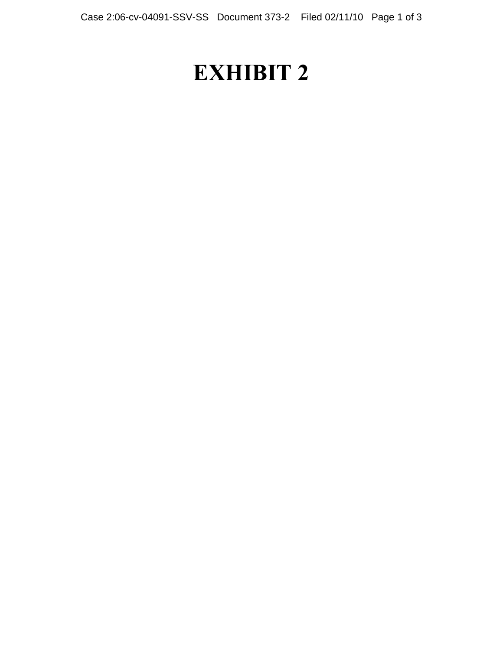## **EXHIBIT 2**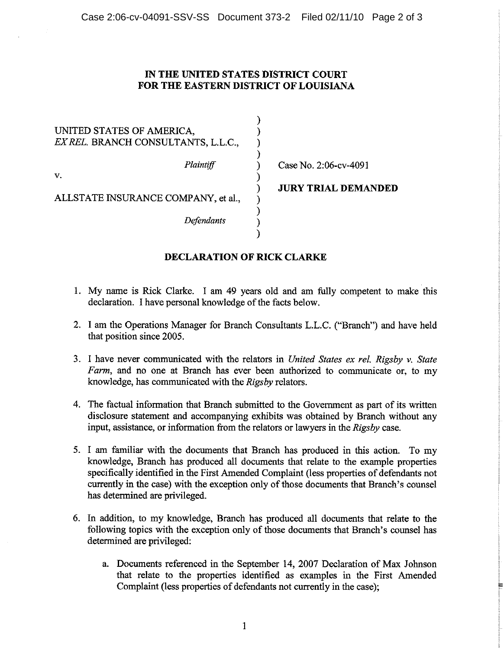## IN THE UNITED STATES DISTRICT COURT FOR THE EASTERN DISTRICT OF LOUISIANA

 $\mathbf{A}$ 

 $\mathcal{E}$  $\mathcal{E}$ 

| UNITED STATES OF AMERICA.           |  |
|-------------------------------------|--|
| EX REL. BRANCH CONSULTANTS, L.L.C., |  |
| Plaintiff                           |  |
| V.                                  |  |
|                                     |  |

Case No. 2:06-cv-4091

ALLSTATE INSURANCE COMPANY, et al.,

**Defendants** 

**JURY TRIAL DEMANDED** 

## **DECLARATION OF RICK CLARKE**

- 1. My name is Rick Clarke. I am 49 years old and am fully competent to make this declaration. I have personal knowledge of the facts below.
- 2. I am the Operations Manager for Branch Consultants L.L.C. ("Branch") and have held that position since 2005.
- 3. I have never communicated with the relators in United States ex rel, Rigsby v, State Farm, and no one at Branch has ever been authorized to communicate or, to my knowledge, has communicated with the Rigsby relators.
- 4. The factual information that Branch submitted to the Government as part of its written disclosure statement and accompanying exhibits was obtained by Branch without any input, assistance, or information from the relators or lawyers in the Rigsby case.
- 5. I am familiar with the documents that Branch has produced in this action. To my knowledge, Branch has produced all documents that relate to the example properties specifically identified in the First Amended Complaint (less properties of defendants not currently in the case) with the exception only of those documents that Branch's counsel has determined are privileged.
- 6. In addition, to my knowledge, Branch has produced all documents that relate to the following topics with the exception only of those documents that Branch's counsel has determined are privileged:
	- a. Documents referenced in the September 14, 2007 Declaration of Max Johnson that relate to the properties identified as examples in the First Amended Complaint (less properties of defendants not currently in the case);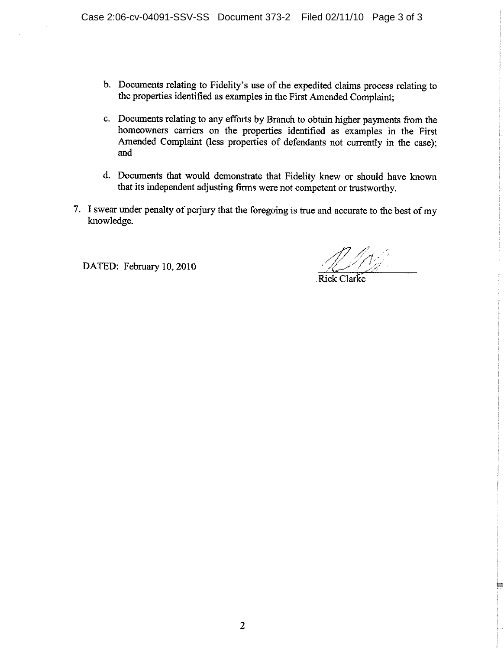- b. Documents relating to Fidelity's use of the expedited claims process relating to the properties identified as examples in the First Amended Complaint:
- c. Documents relating to any efforts by Branch to obtain higher payments from the homeowners carriers on the properties identified as examples in the First Amended Complaint (less properties of defendants not currently in the case); and
- d. Documents that would demonstrate that Fidelity knew or should have known that its independent adjusting firms were not competent or trustworthy.
- 7. I swear under penalty of perjury that the foregoing is true and accurate to the best of my knowledge.

DATED: February 10, 2010

Rick Clarke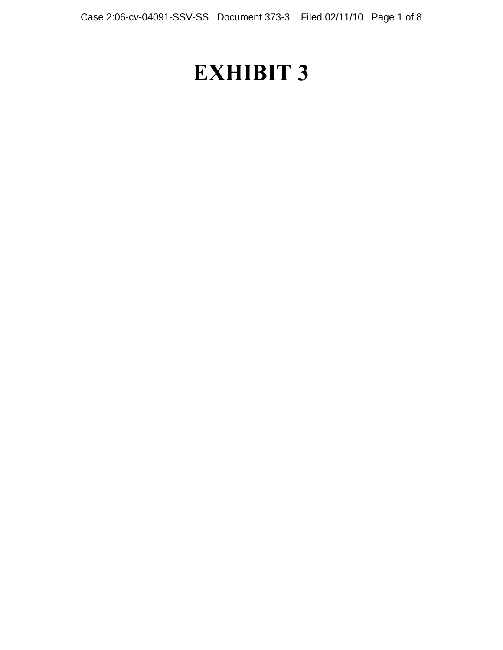## **EXHIBIT 3**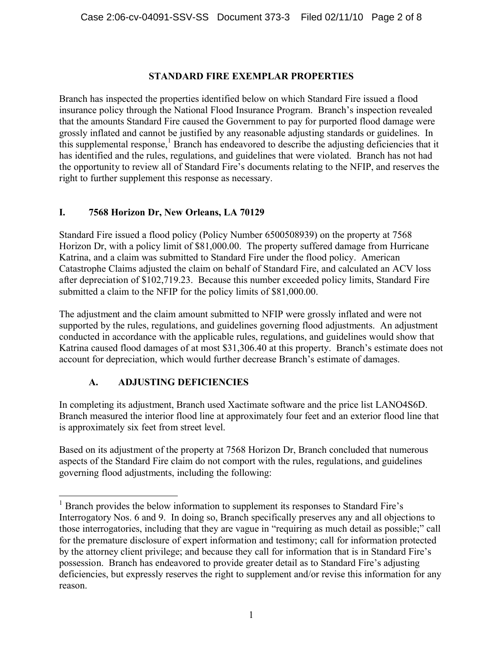## **STANDARD FIRE EXEMPLAR PROPERTIES**

Branch has inspected the properties identified below on which Standard Fire issued a flood insurance policy through the National Flood Insurance Program. Branch's inspection revealed that the amounts Standard Fire caused the Government to pay for purported flood damage were grossly inflated and cannot be justified by any reasonable adjusting standards or guidelines. In this supplemental response, $<sup>1</sup>$  Branch has endeavored to describe the adjusting deficiencies that it</sup> has identified and the rules, regulations, and guidelines that were violated. Branch has not had the opportunity to review all of Standard Fire's documents relating to the NFIP, and reserves the right to further supplement this response as necessary.

## **I. 7568 Horizon Dr, New Orleans, LA 70129**

Standard Fire issued a flood policy (Policy Number 6500508939) on the property at 7568 Horizon Dr, with a policy limit of \$81,000.00. The property suffered damage from Hurricane Katrina, and a claim was submitted to Standard Fire under the flood policy. American Catastrophe Claims adjusted the claim on behalf of Standard Fire, and calculated an ACV loss after depreciation of \$102,719.23. Because this number exceeded policy limits, Standard Fire submitted a claim to the NFIP for the policy limits of \$81,000.00.

The adjustment and the claim amount submitted to NFIP were grossly inflated and were not supported by the rules, regulations, and guidelines governing flood adjustments. An adjustment conducted in accordance with the applicable rules, regulations, and guidelines would show that Katrina caused flood damages of at most \$31,306.40 at this property. Branch's estimate does not account for depreciation, which would further decrease Branch's estimate of damages.

## **A. ADJUSTING DEFICIENCIES**

In completing its adjustment, Branch used Xactimate software and the price list LANO4S6D. Branch measured the interior flood line at approximately four feet and an exterior flood line that is approximately six feet from street level.

Based on its adjustment of the property at 7568 Horizon Dr, Branch concluded that numerous aspects of the Standard Fire claim do not comport with the rules, regulations, and guidelines governing flood adjustments, including the following:

<sup>&</sup>lt;sup>1</sup> Branch provides the below information to supplement its responses to Standard Fire's Interrogatory Nos. 6 and 9. In doing so, Branch specifically preserves any and all objections to those interrogatories, including that they are vague in "requiring as much detail as possible;" call for the premature disclosure of expert information and testimony; call for information protected by the attorney client privilege; and because they call for information that is in Standard Fire's possession. Branch has endeavored to provide greater detail as to Standard Fire's adjusting deficiencies, but expressly reserves the right to supplement and/or revise this information for any reason.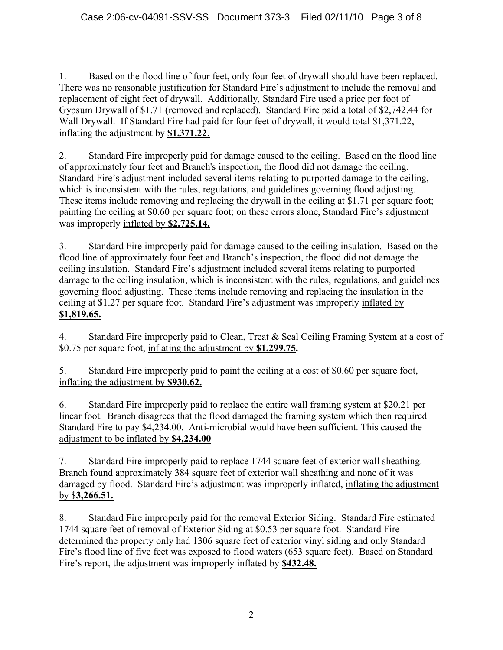1. Based on the flood line of four feet, only four feet of drywall should have been replaced. There was no reasonable justification for Standard Fire's adjustment to include the removal and replacement of eight feet of drywall. Additionally, Standard Fire used a price per foot of Gypsum Drywall of \$1.71 (removed and replaced). Standard Fire paid a total of \$2,742.44 for Wall Drywall. If Standard Fire had paid for four feet of drywall, it would total \$1,371.22, inflating the adjustment by **\$1,371.22**.

2. Standard Fire improperly paid for damage caused to the ceiling. Based on the flood line of approximately four feet and Branch's inspection, the flood did not damage the ceiling. Standard Fire's adjustment included several items relating to purported damage to the ceiling, which is inconsistent with the rules, regulations, and guidelines governing flood adjusting. These items include removing and replacing the drywall in the ceiling at \$1.71 per square foot; painting the ceiling at \$0.60 per square foot; on these errors alone, Standard Fire's adjustment was improperly inflated by **\$2,725.14.**

3. Standard Fire improperly paid for damage caused to the ceiling insulation. Based on the flood line of approximately four feet and Branch's inspection, the flood did not damage the ceiling insulation. Standard Fire's adjustment included several items relating to purported damage to the ceiling insulation, which is inconsistent with the rules, regulations, and guidelines governing flood adjusting. These items include removing and replacing the insulation in the ceiling at \$1.27 per square foot. Standard Fire's adjustment was improperly inflated by **\$1,819.65.**

4. Standard Fire improperly paid to Clean, Treat & Seal Ceiling Framing System at a cost of \$0.75 per square foot, inflating the adjustment by **\$1,299.75.**

5. Standard Fire improperly paid to paint the ceiling at a cost of \$0.60 per square foot, inflating the adjustment by **\$930.62.**

6. Standard Fire improperly paid to replace the entire wall framing system at \$20.21 per linear foot. Branch disagrees that the flood damaged the framing system which then required Standard Fire to pay \$4,234.00. Anti-microbial would have been sufficient. This caused the adjustment to be inflated by **\$4,234.00**

7. Standard Fire improperly paid to replace 1744 square feet of exterior wall sheathing. Branch found approximately 384 square feet of exterior wall sheathing and none of it was damaged by flood. Standard Fire's adjustment was improperly inflated, inflating the adjustment by \$**3,266.51.**

8. Standard Fire improperly paid for the removal Exterior Siding. Standard Fire estimated 1744 square feet of removal of Exterior Siding at \$0.53 per square foot. Standard Fire determined the property only had 1306 square feet of exterior vinyl siding and only Standard Fire's flood line of five feet was exposed to flood waters (653 square feet). Based on Standard Fire's report, the adjustment was improperly inflated by **\$432.48.**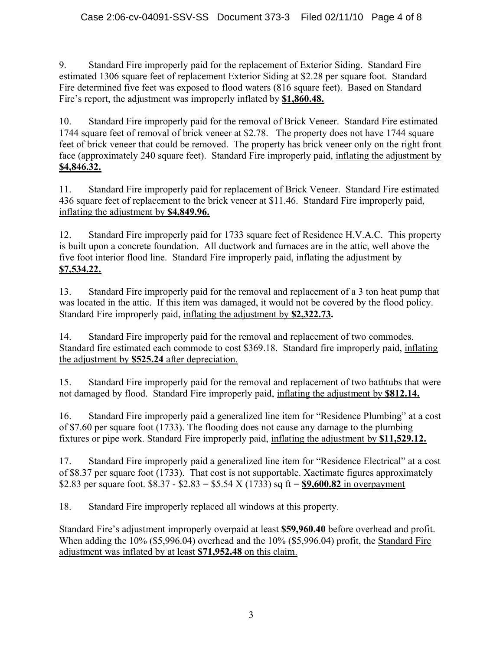9. Standard Fire improperly paid for the replacement of Exterior Siding. Standard Fire estimated 1306 square feet of replacement Exterior Siding at \$2.28 per square foot. Standard Fire determined five feet was exposed to flood waters (816 square feet). Based on Standard Fire's report, the adjustment was improperly inflated by **\$1,860.48.**

10. Standard Fire improperly paid for the removal of Brick Veneer. Standard Fire estimated 1744 square feet of removal of brick veneer at \$2.78. The property does not have 1744 square feet of brick veneer that could be removed. The property has brick veneer only on the right front face (approximately 240 square feet). Standard Fire improperly paid, inflating the adjustment by **\$4,846.32.**

11. Standard Fire improperly paid for replacement of Brick Veneer. Standard Fire estimated 436 square feet of replacement to the brick veneer at \$11.46. Standard Fire improperly paid, inflating the adjustment by **\$4,849.96.**

12. Standard Fire improperly paid for 1733 square feet of Residence H.V.A.C. This property is built upon a concrete foundation. All ductwork and furnaces are in the attic, well above the five foot interior flood line. Standard Fire improperly paid, inflating the adjustment by **\$7,534.22.**

13. Standard Fire improperly paid for the removal and replacement of a 3 ton heat pump that was located in the attic. If this item was damaged, it would not be covered by the flood policy. Standard Fire improperly paid, inflating the adjustment by **\$2,322.73.**

14. Standard Fire improperly paid for the removal and replacement of two commodes. Standard fire estimated each commode to cost \$369.18. Standard fire improperly paid, inflating the adjustment by **\$525.24** after depreciation.

15. Standard Fire improperly paid for the removal and replacement of two bathtubs that were not damaged by flood. Standard Fire improperly paid, inflating the adjustment by **\$812.14.**

16. Standard Fire improperly paid a generalized line item for "Residence Plumbing" at a cost of \$7.60 per square foot (1733). The flooding does not cause any damage to the plumbing fixtures or pipe work. Standard Fire improperly paid, inflating the adjustment by **\$11,529.12.**

17. Standard Fire improperly paid a generalized line item for "Residence Electrical" at a cost of \$8.37 per square foot (1733). That cost is not supportable. Xactimate figures approximately \$2.83 per square foot. \$8.37 - \$2.83 = \$5.54 X (1733) sq ft = **\$9,600.82** in overpayment

18. Standard Fire improperly replaced all windows at this property.

Standard Fire's adjustment improperly overpaid at least **\$59,960.40** before overhead and profit. When adding the 10% (\$5,996.04) overhead and the 10% (\$5,996.04) profit, the Standard Fire adjustment was inflated by at least **\$71,952.48** on this claim.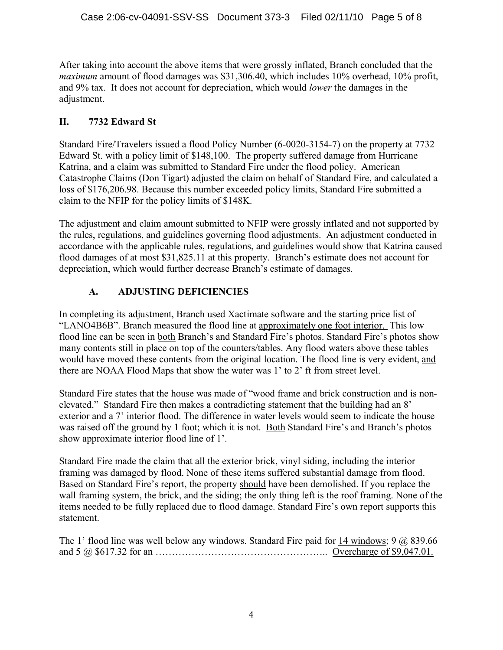After taking into account the above items that were grossly inflated, Branch concluded that the *maximum* amount of flood damages was \$31,306.40, which includes 10% overhead, 10% profit, and 9% tax. It does not account for depreciation, which would *lower* the damages in the adjustment.

## **II. 7732 Edward St**

Standard Fire/Travelers issued a flood Policy Number (6-0020-3154-7) on the property at 7732 Edward St. with a policy limit of \$148,100. The property suffered damage from Hurricane Katrina, and a claim was submitted to Standard Fire under the flood policy. American Catastrophe Claims (Don Tigart) adjusted the claim on behalf of Standard Fire, and calculated a loss of \$176,206.98. Because this number exceeded policy limits, Standard Fire submitted a claim to the NFIP for the policy limits of \$148K.

The adjustment and claim amount submitted to NFIP were grossly inflated and not supported by the rules, regulations, and guidelines governing flood adjustments. An adjustment conducted in accordance with the applicable rules, regulations, and guidelines would show that Katrina caused flood damages of at most \$31,825.11 at this property. Branch's estimate does not account for depreciation, which would further decrease Branch's estimate of damages.

## **A. ADJUSTING DEFICIENCIES**

In completing its adjustment, Branch used Xactimate software and the starting price list of "LANO4B6B". Branch measured the flood line at approximately one foot interior. This low flood line can be seen in both Branch's and Standard Fire's photos. Standard Fire's photos show many contents still in place on top of the counters/tables. Any flood waters above these tables would have moved these contents from the original location. The flood line is very evident, and there are NOAA Flood Maps that show the water was 1' to 2' ft from street level.

Standard Fire states that the house was made of "wood frame and brick construction and is nonelevated." Standard Fire then makes a contradicting statement that the building had an 8' exterior and a 7' interior flood. The difference in water levels would seem to indicate the house was raised off the ground by 1 foot; which it is not. Both Standard Fire's and Branch's photos show approximate interior flood line of 1'.

Standard Fire made the claim that all the exterior brick, vinyl siding, including the interior framing was damaged by flood. None of these items suffered substantial damage from flood. Based on Standard Fire's report, the property should have been demolished. If you replace the wall framing system, the brick, and the siding; the only thing left is the roof framing. None of the items needed to be fully replaced due to flood damage. Standard Fire's own report supports this statement.

The 1' flood line was well below any windows. Standard Fire paid for 14 windows; 9  $\omega$  839.66 and 5 @ \$617.32 for an …………………………………………….. Overcharge of \$9,047.01.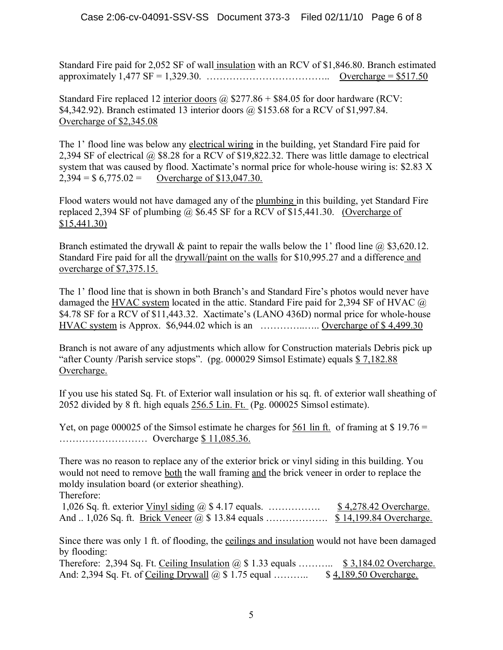Standard Fire paid for 2,052 SF of wall insulation with an RCV of \$1,846.80. Branch estimated approximately 1,477 SF = 1,329.30. ……………………………….. Overcharge = \$517.50

Standard Fire replaced 12 interior doors  $\omega$  \$277.86 + \$84.05 for door hardware (RCV: \$4,342.92). Branch estimated 13 interior doors @ \$153.68 for a RCV of \$1,997.84. Overcharge of \$2,345.08

The 1' flood line was below any electrical wiring in the building, yet Standard Fire paid for 2,394 SF of electrical @ \$8.28 for a RCV of \$19,822.32. There was little damage to electrical system that was caused by flood. Xactimate's normal price for whole-house wiring is: \$2.83 X  $2,394 = $ 6,775.02 =$  Overcharge of \$13,047.30.

Flood waters would not have damaged any of the plumbing in this building, yet Standard Fire replaced 2,394 SF of plumbing  $\omega$  \$6.45 SF for a RCV of \$15,441.30. (Overcharge of \$15,441.30)

Branch estimated the drywall & paint to repair the walls below the 1' flood line  $\omega$  \$3,620.12. Standard Fire paid for all the drywall/paint on the walls for \$10,995.27 and a difference and overcharge of \$7,375.15.

The 1' flood line that is shown in both Branch's and Standard Fire's photos would never have damaged the HVAC system located in the attic. Standard Fire paid for 2,394 SF of HVAC @ \$4.78 SF for a RCV of \$11,443.32. Xactimate's (LANO 436D) normal price for whole-house HVAC system is Approx. \$6,944.02 which is an …………..….. Overcharge of \$ 4,499.30

Branch is not aware of any adjustments which allow for Construction materials Debris pick up "after County /Parish service stops". (pg. 000029 Simsol Estimate) equals \$ 7,182.88 Overcharge.

If you use his stated Sq. Ft. of Exterior wall insulation or his sq. ft. of exterior wall sheathing of 2052 divided by 8 ft. high equals 256.5 Lin. Ft. (Pg. 000025 Simsol estimate).

Yet, on page 000025 of the Simsol estimate he charges for  $\frac{561 \text{ lin ft}}{10 \text{ ft}}$  of framing at \$ 19.76 = ……………………… Overcharge \$ 11,085.36.

There was no reason to replace any of the exterior brick or vinyl siding in this building. You would not need to remove both the wall framing and the brick veneer in order to replace the moldy insulation board (or exterior sheathing).

Therefore:

| 1,026 Sq. ft. exterior $V$ inyl siding $\omega$ \$ 4.17 equals. | <u>\$4,278.42 Overcharge.</u> |
|-----------------------------------------------------------------|-------------------------------|
|                                                                 |                               |

Since there was only 1 ft. of flooding, the ceilings and insulation would not have been damaged by flooding:

Therefore: 2,394 Sq. Ft. Ceiling Insulation  $\omega$  \$ 1.33 equals … . \$ 3,184.02 Overcharge. And: 2,394 Sq. Ft. of Ceiling Drywall @ \$ 1.75 equal ……….. \$ 4,189.50 Overcharge.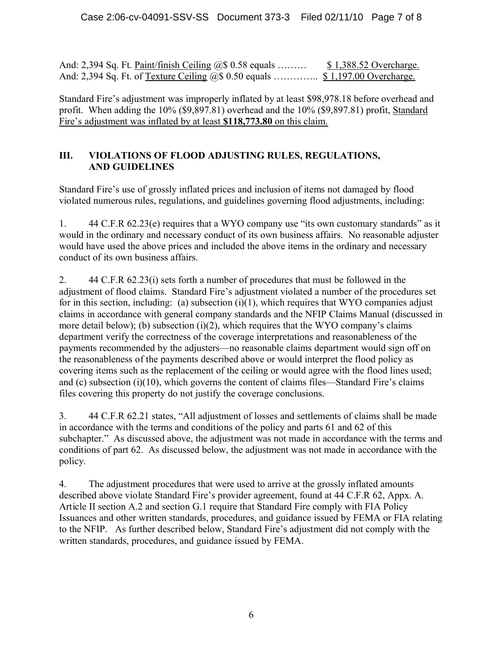And: 2,394 Sq. Ft. Paint/finish Ceiling @\$ 0.58 equals ……… \$ 1,388.52 Overcharge. And: 2,394 Sq. Ft. of <u>Texture Ceiling</u> @\$ 0.50 equals ................ \$ 1,197.00 Overcharge.

Standard Fire's adjustment was improperly inflated by at least \$98,978.18 before overhead and profit. When adding the 10% (\$9,897.81) overhead and the 10% (\$9,897.81) profit, Standard Fire's adjustment was inflated by at least **\$118,773.80** on this claim.

## **III. VIOLATIONS OF FLOOD ADJUSTING RULES, REGULATIONS, AND GUIDELINES**

Standard Fire's use of grossly inflated prices and inclusion of items not damaged by flood violated numerous rules, regulations, and guidelines governing flood adjustments, including:

1. 44 C.F.R 62.23(e) requires that a WYO company use "its own customary standards" as it would in the ordinary and necessary conduct of its own business affairs. No reasonable adjuster would have used the above prices and included the above items in the ordinary and necessary conduct of its own business affairs.

2. 44 C.F.R 62.23(i) sets forth a number of procedures that must be followed in the adjustment of flood claims. Standard Fire's adjustment violated a number of the procedures set for in this section, including: (a) subsection  $(i)(1)$ , which requires that WYO companies adjust claims in accordance with general company standards and the NFIP Claims Manual (discussed in more detail below); (b) subsection  $(i)(2)$ , which requires that the WYO company's claims department verify the correctness of the coverage interpretations and reasonableness of the payments recommended by the adjusters—no reasonable claims department would sign off on the reasonableness of the payments described above or would interpret the flood policy as covering items such as the replacement of the ceiling or would agree with the flood lines used; and (c) subsection  $(i)(10)$ , which governs the content of claims files—Standard Fire's claims files covering this property do not justify the coverage conclusions.

3. 44 C.F.R 62.21 states, "All adjustment of losses and settlements of claims shall be made in accordance with the terms and conditions of the policy and parts 61 and 62 of this subchapter." As discussed above, the adjustment was not made in accordance with the terms and conditions of part 62. As discussed below, the adjustment was not made in accordance with the policy.

4. The adjustment procedures that were used to arrive at the grossly inflated amounts described above violate Standard Fire's provider agreement, found at 44 C.F.R 62, Appx. A. Article II section A.2 and section G.1 require that Standard Fire comply with FIA Policy Issuances and other written standards, procedures, and guidance issued by FEMA or FIA relating to the NFIP. As further described below, Standard Fire's adjustment did not comply with the written standards, procedures, and guidance issued by FEMA.